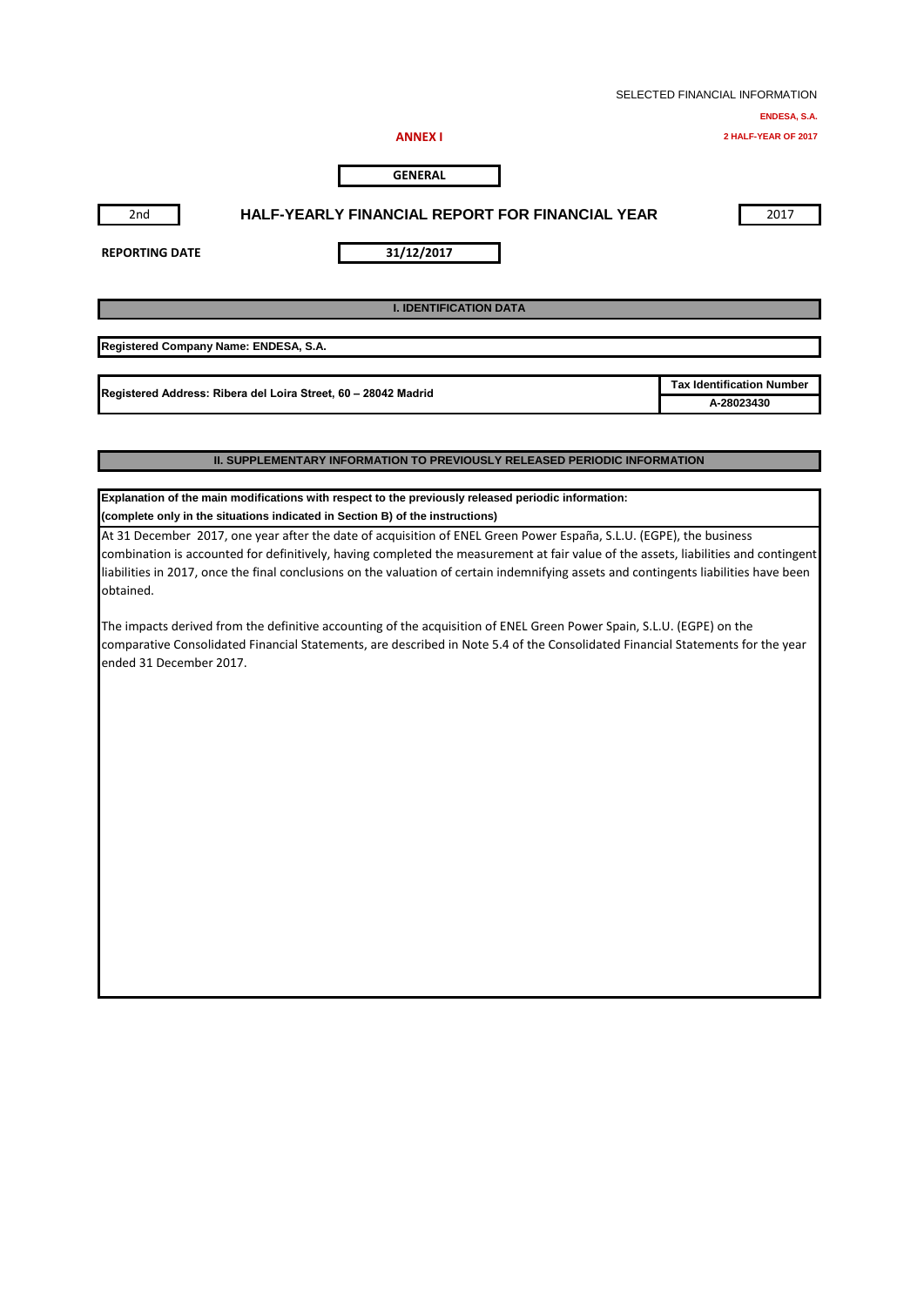|                                       |                                                                                                                                       | SELECTED FINANCIAL INFORMATION   |
|---------------------------------------|---------------------------------------------------------------------------------------------------------------------------------------|----------------------------------|
|                                       |                                                                                                                                       | ENDESA, S.A.                     |
|                                       | <b>ANNEX I</b>                                                                                                                        | 2 HALF-YEAR OF 2017              |
|                                       | <b>GENERAL</b>                                                                                                                        |                                  |
| 2nd                                   | <b>HALF-YEARLY FINANCIAL REPORT FOR FINANCIAL YEAR</b>                                                                                | 2017                             |
| <b>REPORTING DATE</b>                 | 31/12/2017                                                                                                                            |                                  |
|                                       | <b>I. IDENTIFICATION DATA</b>                                                                                                         |                                  |
| Registered Company Name: ENDESA, S.A. |                                                                                                                                       |                                  |
|                                       | Registered Address: Ribera del Loira Street, 60 - 28042 Madrid                                                                        | <b>Tax Identification Number</b> |
|                                       |                                                                                                                                       | A-28023430                       |
|                                       | <b>II. SUPPLEMENTARY INFORMATION TO PREVIOUSLY RELEASED PERIODIC INFORMATION</b>                                                      |                                  |
|                                       | Explanation of the main modifications with respect to the previously released periodic information:                                   |                                  |
|                                       | (complete only in the situations indicated in Section B) of the instructions)                                                         |                                  |
|                                       | At 31 December 2017, one year after the date of acquisition of ENEL Green Power España, S.L.U. (EGPE), the business                   |                                  |
|                                       | combination is accounted for definitively, having completed the measurement at fair value of the assets, liabilities and contingent   |                                  |
|                                       | liabilities in 2017, once the final conclusions on the valuation of certain indemnifying assets and contingents liabilities have been |                                  |

The impacts derived from the definitive accounting of the acquisition of ENEL Green Power Spain, S.L.U. (EGPE) on the comparative Consolidated Financial Statements, are described in Note 5.4 of the Consolidated Financial Statements for the year ended 31 December 2017.

obtained.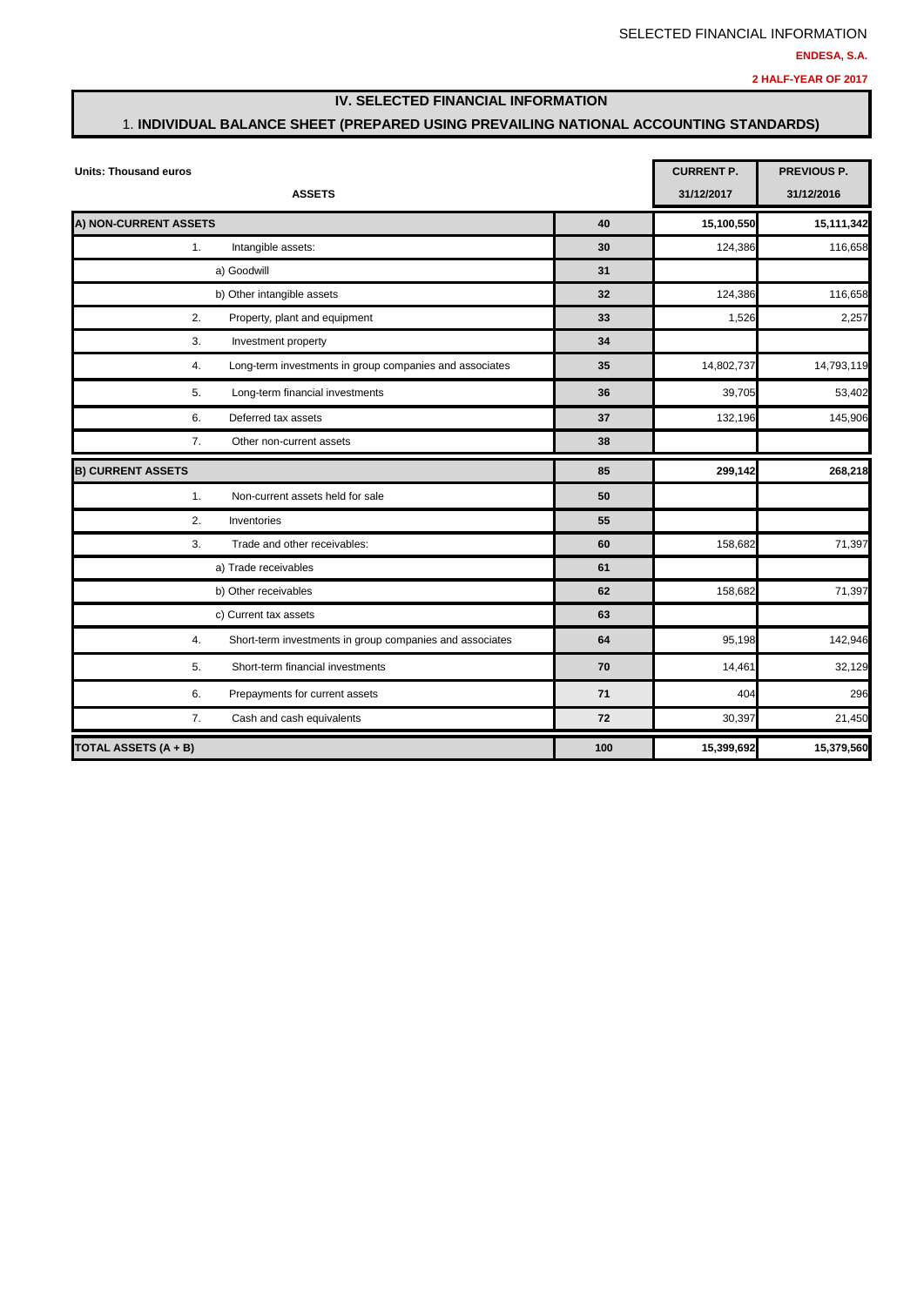### **IV. SELECTED FINANCIAL INFORMATION**

### 1. **INDIVIDUAL BALANCE SHEET (PREPARED USING PREVAILING NATIONAL ACCOUNTING STANDARDS)**

| <b>Units: Thousand euros</b>                                   | <b>CURRENT P.</b> | <b>PREVIOUS P.</b> |            |
|----------------------------------------------------------------|-------------------|--------------------|------------|
| <b>ASSETS</b>                                                  |                   | 31/12/2017         | 31/12/2016 |
| A) NON-CURRENT ASSETS                                          | 40                | 15,100,550         | 15,111,342 |
| Intangible assets:<br>1.                                       | 30                | 124,386            | 116,658    |
| a) Goodwill                                                    | 31                |                    |            |
| b) Other intangible assets                                     | 32                | 124,386            | 116,658    |
| 2.<br>Property, plant and equipment                            | 33                | 1,526              | 2,257      |
| 3.<br>Investment property                                      | 34                |                    |            |
| 4.<br>Long-term investments in group companies and associates  | 35                | 14,802,737         | 14,793,119 |
| Long-term financial investments<br>5.                          | 36                | 39,705             | 53,402     |
| 6.<br>Deferred tax assets                                      | 37                | 132,196            | 145,906    |
| 7.<br>Other non-current assets                                 | 38                |                    |            |
| <b>B) CURRENT ASSETS</b>                                       | 85                | 299,142            | 268,218    |
| 1.<br>Non-current assets held for sale                         | 50                |                    |            |
| 2.<br>Inventories                                              | 55                |                    |            |
| 3.<br>Trade and other receivables:                             | 60                | 158,682            | 71,397     |
| a) Trade receivables                                           | 61                |                    |            |
| b) Other receivables                                           | 62                | 158,682            | 71,397     |
| c) Current tax assets                                          | 63                |                    |            |
| 4.<br>Short-term investments in group companies and associates | 64                | 95,198             | 142,946    |
| Short-term financial investments<br>5.                         | 70                | 14,461             | 32,129     |
| 6.<br>Prepayments for current assets                           | 71                | 404                | 296        |
| 7.<br>Cash and cash equivalents                                | 72                | 30,397             | 21,450     |
| TOTAL ASSETS (A + B)                                           | 100               | 15,399,692         | 15,379,560 |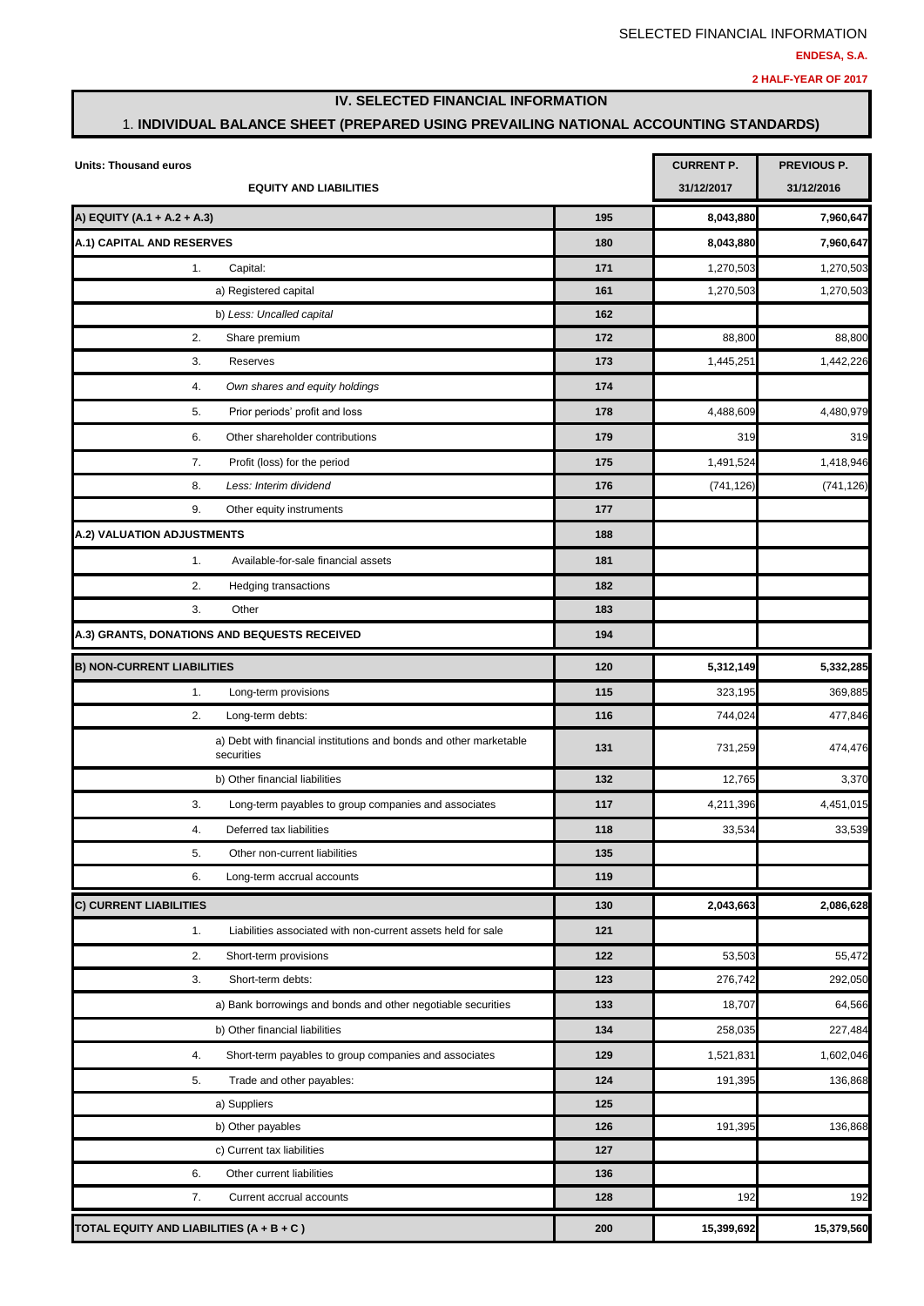### **IV. SELECTED FINANCIAL INFORMATION**

### 1. **INDIVIDUAL BALANCE SHEET (PREPARED USING PREVAILING NATIONAL ACCOUNTING STANDARDS)**

| Units: Thousand euros                                                            | <b>CURRENT P.</b> | <b>PREVIOUS P.</b> |            |
|----------------------------------------------------------------------------------|-------------------|--------------------|------------|
| <b>EQUITY AND LIABILITIES</b>                                                    |                   | 31/12/2017         | 31/12/2016 |
| A) EQUITY (A.1 + A.2 + A.3)                                                      | 195               | 8,043,880          | 7,960,647  |
| A.1) CAPITAL AND RESERVES                                                        | 180               | 8,043,880          | 7,960,647  |
| 1.<br>Capital:                                                                   | 171               | 1,270,503          | 1,270,503  |
| a) Registered capital                                                            | 161               | 1,270,503          | 1,270,503  |
| b) Less: Uncalled capital                                                        | 162               |                    |            |
| 2.<br>Share premium                                                              | 172               | 88,800             | 88,800     |
| 3.<br>Reserves                                                                   | 173               | 1,445,251          | 1,442,226  |
| 4.<br>Own shares and equity holdings                                             | 174               |                    |            |
| Prior periods' profit and loss<br>5.                                             | 178               | 4,488,609          | 4,480,979  |
| 6.<br>Other shareholder contributions                                            | 179               | 319                | 319        |
| 7.<br>Profit (loss) for the period                                               | 175               | 1,491,524          | 1,418,946  |
| 8.<br>Less: Interim dividend                                                     | 176               | (741, 126)         | (741, 126) |
| 9.<br>Other equity instruments                                                   | 177               |                    |            |
| A.2) VALUATION ADJUSTMENTS                                                       | 188               |                    |            |
| 1.<br>Available-for-sale financial assets                                        | 181               |                    |            |
| 2.<br>Hedging transactions                                                       | 182               |                    |            |
| 3.<br>Other                                                                      | 183               |                    |            |
| A.3) GRANTS, DONATIONS AND BEQUESTS RECEIVED                                     | 194               |                    |            |
| <b>B) NON-CURRENT LIABILITIES</b>                                                | 120               | 5,312,149          | 5,332,285  |
| 1.<br>Long-term provisions                                                       | 115               | 323,195            | 369,885    |
| 2.<br>Long-term debts:                                                           | 116               | 744,024            | 477,846    |
| a) Debt with financial institutions and bonds and other marketable<br>securities | 131               | 731,259            | 474,476    |
| b) Other financial liabilities                                                   | 132               | 12,765             | 3,370      |
| 3.<br>Long-term payables to group companies and associates                       | 117               | 4,211,396          | 4,451,015  |
| 4.<br>Deferred tax liabilities                                                   | 118               | 33,534             | 33,539     |
| 5.<br>Other non-current liabilities                                              | 135               |                    |            |
| 6.<br>Long-term accrual accounts                                                 | 119               |                    |            |
| <b>C) CURRENT LIABILITIES</b>                                                    | 130               | 2,043,663          | 2,086,628  |
| 1.<br>Liabilities associated with non-current assets held for sale               | 121               |                    |            |
| 2.<br>Short-term provisions                                                      | 122               | 53,503             | 55,472     |
| 3.<br>Short-term debts:                                                          | 123               | 276,742            | 292,050    |
| a) Bank borrowings and bonds and other negotiable securities                     | 133               | 18,707             | 64,566     |
| b) Other financial liabilities                                                   | 134               | 258,035            | 227,484    |
| Short-term payables to group companies and associates<br>4.                      | 129               | 1,521,831          | 1,602,046  |
| 5.<br>Trade and other payables:                                                  | 124               | 191,395            | 136,868    |
| a) Suppliers                                                                     | 125               |                    |            |
| b) Other payables                                                                | 126               | 191,395            | 136,868    |
| c) Current tax liabilities                                                       | 127               |                    |            |
| 6.<br>Other current liabilities                                                  | 136               |                    |            |
| 7.<br>Current accrual accounts                                                   | 128               | 192                | 192        |
| TOTAL EQUITY AND LIABILITIES (A + B + C )                                        | 200               | 15,399,692         | 15,379,560 |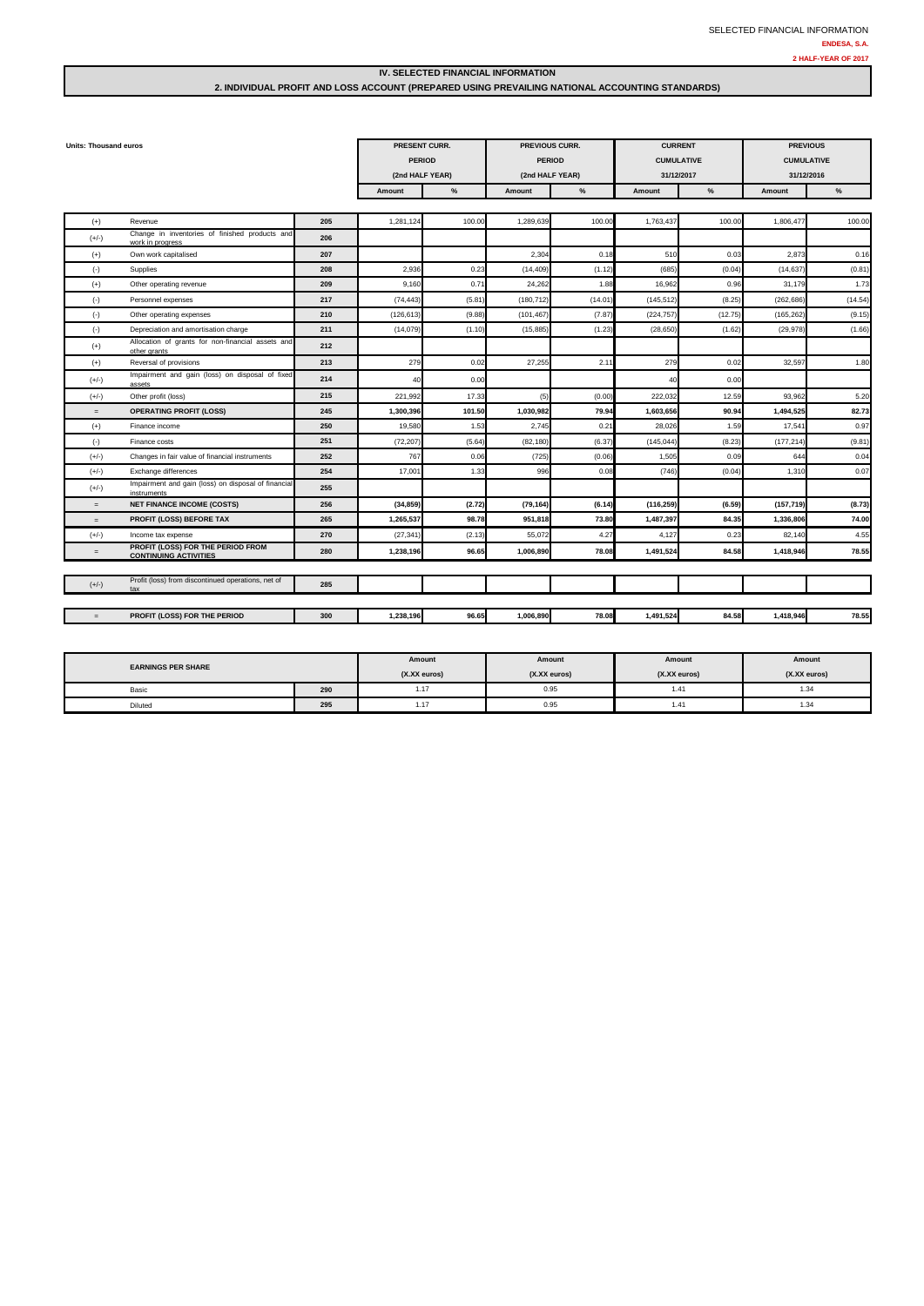#### **IV. SELECTED FINANCIAL INFORMATION**

#### **2. INDIVIDUAL PROFIT AND LOSS ACCOUNT (PREPARED USING PREVAILING NATIONAL ACCOUNTING STANDARDS)**

| <b>Units: Thousand euros</b> |                                                                    | PRESENT CURR. |                 | PREVIOUS CURR. |                 | <b>CURRENT</b> |                   | <b>PREVIOUS</b> |                   |         |
|------------------------------|--------------------------------------------------------------------|---------------|-----------------|----------------|-----------------|----------------|-------------------|-----------------|-------------------|---------|
|                              |                                                                    |               | <b>PERIOD</b>   |                | <b>PERIOD</b>   |                | <b>CUMULATIVE</b> |                 | <b>CUMULATIVE</b> |         |
|                              |                                                                    |               | (2nd HALF YEAR) |                | (2nd HALF YEAR) |                | 31/12/2017        |                 | 31/12/2016        |         |
|                              |                                                                    |               | Amount          | $\%$           | Amount          | $\frac{0}{6}$  | Amount            | %               | Amount            | %       |
|                              |                                                                    |               |                 |                |                 |                |                   |                 |                   |         |
| $(+)$                        | Revenue                                                            | 205           | 1,281,124       | 100.00         | 1,289,63        | 100.0          | 1,763,437         | 100.00          | 1,806,47          | 100.00  |
| $(+/-)$                      | Change in inventories of finished products and<br>work in progress | 206           |                 |                |                 |                |                   |                 |                   |         |
| $(+)$                        | Own work capitalised                                               | 207           |                 |                | 2,30            | 0.11           | 510               | 0.03            | 2,873             | 0.16    |
| $(-)$                        | Supplies                                                           | 208           | 2.936           | 0.23           | (14, 409)       | (1.12)         | (685)             | (0.04)          | (14, 637)         | (0.81)  |
| $(+)$                        | Other operating revenue                                            | 209           | 9,160           | 0.71           | 24,262          | 1.88           | 16,962            | 0.96            | 31,179            | 1.73    |
| $(-)$                        | Personnel expenses                                                 | 217           | (74, 443)       | (5.81)         | (180, 712)      | (14.01)        | (145, 512)        | (8.25)          | (262, 686)        | (14.54) |
| $(-)$                        | Other operating expenses                                           | 210           | (126, 613)      | (9.88)         | (101, 467)      | (7.87)         | (224, 757)        | (12.75)         | (165, 262)        | (9.15)  |
| $(\cdot)$                    | Depreciation and amortisation charge                               | 211           | (14,079)        | (1.10)         | (15, 885)       | (1.23)         | (28, 650)         | (1.62)          | (29, 978)         | (1.66)  |
| $(+)$                        | Allocation of grants for non-financial assets and<br>other grants  | 212           |                 |                |                 |                |                   |                 |                   |         |
| $(+)$                        | Reversal of provisions                                             | 213           | 279             | 0.02           | 27,25           | 2.1            | 279               | 0.02            | 32.597            | 1.80    |
| $(+/-)$                      | Impairment and gain (loss) on disposal of fixed<br>assets          | 214           | 40              | 0.00           |                 |                | 40                | 0.00            |                   |         |
| $(+/-)$                      | Other profit (loss)                                                | 215           | 221,992         | 17.33          | (5)             | (0.00)         | 222,032           | 12.59           | 93,962            | 5.20    |
| $=$                          | <b>OPERATING PROFIT (LOSS)</b>                                     | 245           | 1,300,396       | 101.50         | 1,030,982       | 79.94          | 1,603,656         | 90.94           | 1,494,525         | 82.73   |
| $(+)$                        | Finance income                                                     | 250           | 19,580          | 1.53           | 2,745           | 0.21           | 28,026            | 1.59            | 17.541            | 0.97    |
| $(\cdot)$                    | Finance costs                                                      | 251           | (72, 207)       | (5.64)         | (82, 180)       | (6.37)         | (145, 044)        | (8.23)          | (177, 214)        | (9.81)  |
| $(+/-)$                      | Changes in fair value of financial instruments                     | 252           | 767             | 0.06           | (725)           | (0.06)         | 1,505             | 0.09            | 644               | 0.04    |
| $(+/-)$                      | Exchange differences                                               | 254           | 17.001          | 1.33           | 996             | 0.08           | (746)             | (0.04)          | 1,310             | 0.07    |
| $(+/-)$                      | Impairment and gain (loss) on disposal of financial<br>instruments | 255           |                 |                |                 |                |                   |                 |                   |         |
| $=$                          | <b>NET FINANCE INCOME (COSTS)</b>                                  | 256           | (34, 859)       | (2.72)         | (79, 164)       | (6.14)         | (116, 259)        | (6.59)          | (157, 719)        | (8.73)  |
| $=$                          | PROFIT (LOSS) BEFORE TAX                                           | 265           | 1,265,537       | 98.78          | 951,818         | 73.80          | 1,487,397         | 84.35           | 1,336,806         | 74.00   |
| $(+/-)$                      | Income tax expense                                                 | 270           | (27, 341)       | (2.13)         | 55,072          | 4.27           | 4,127             | 0.23            | 82.140            | 4.55    |
| $=$                          | PROFIT (LOSS) FOR THE PERIOD FROM<br><b>CONTINUING ACTIVITIES</b>  | 280           | 1,238,196       | 96.65          | 1,006,890       | 78.08          | 1,491,524         | 84.58           | 1,418,946         | 78.55   |
|                              |                                                                    |               |                 |                |                 |                |                   |                 |                   |         |
| $(+/-)$                      | Profit (loss) from discontinued operations, net of<br>tax          | 285           |                 |                |                 |                |                   |                 |                   |         |
|                              |                                                                    |               |                 |                |                 |                |                   |                 |                   |         |
| $=$                          | PROFIT (LOSS) FOR THE PERIOD                                       | 300           | 1,238,196       | 96.65          | 1,006,890       | 78.08          | 1,491,524         | 84.58           | 1,418,946         | 78.55   |

| <b>EARNINGS PER SHARE</b> |     | Amount<br>(X.XX euros) | Amount<br>(X.XX euros) | Amount<br>(X.XX euros) | Amount<br>(X.XX euros) |
|---------------------------|-----|------------------------|------------------------|------------------------|------------------------|
| Basic                     | 290 | 1.17                   | 0.95                   | 1.41                   | $\sim$<br>۰د.          |
| Diluted                   | 295 | 1.17                   | 0.95                   | 1.41                   | $\sim$<br>-د. ا        |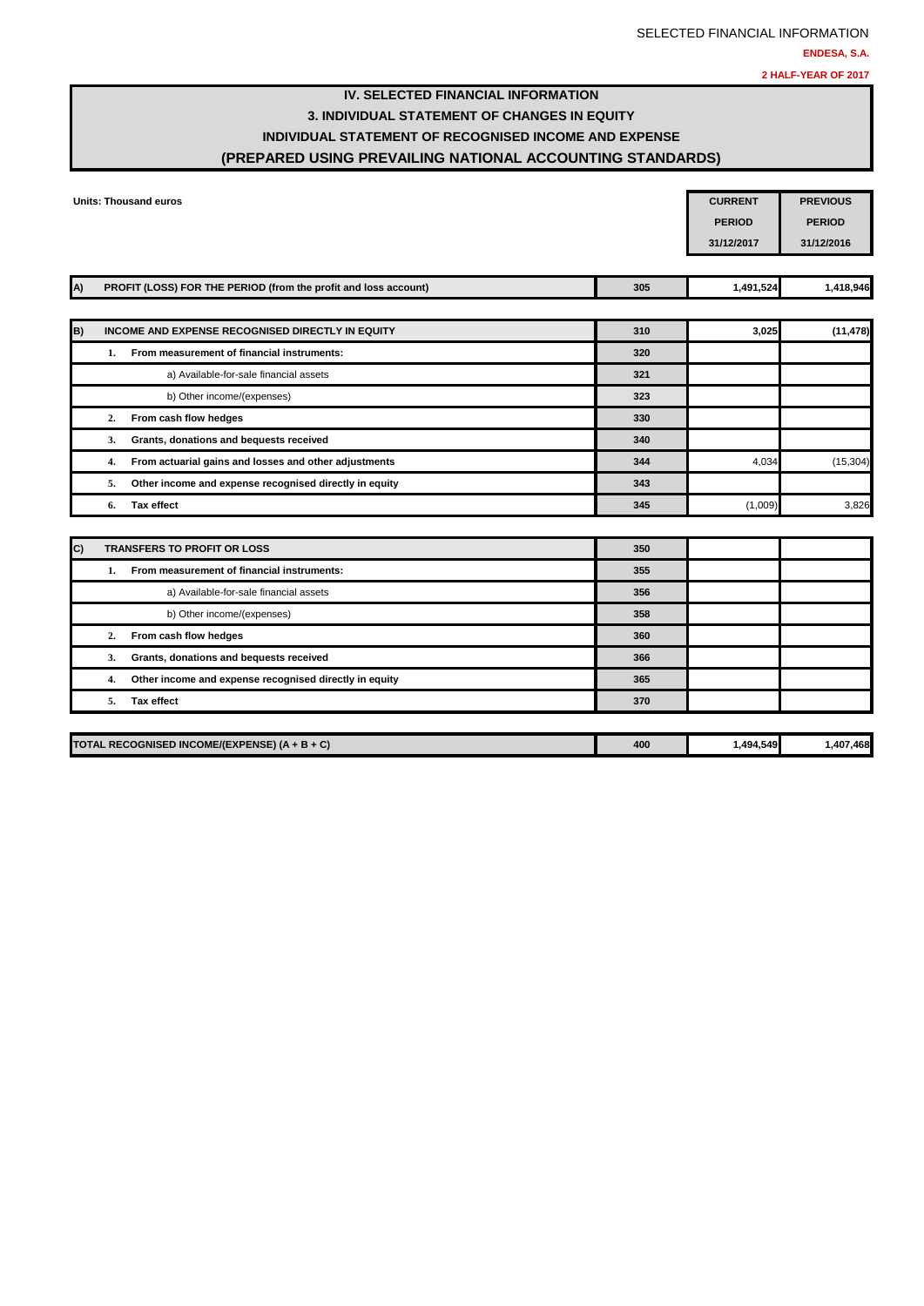# **IV. SELECTED FINANCIAL INFORMATION 3. INDIVIDUAL STATEMENT OF CHANGES IN EQUITY INDIVIDUAL STATEMENT OF RECOGNISED INCOME AND EXPENSE (PREPARED USING PREVAILING NATIONAL ACCOUNTING STANDARDS)**

|              |    | <b>Units: Thousand euros</b>                                    |     | <b>CURRENT</b><br><b>PERIOD</b><br>31/12/2017 | <b>PREVIOUS</b><br><b>PERIOD</b><br>31/12/2016 |
|--------------|----|-----------------------------------------------------------------|-----|-----------------------------------------------|------------------------------------------------|
| A)           |    | PROFIT (LOSS) FOR THE PERIOD (from the profit and loss account) | 305 | 1,491,524                                     | 1,418,946                                      |
| B)           |    | INCOME AND EXPENSE RECOGNISED DIRECTLY IN EQUITY                | 310 | 3,025                                         | (11, 478)                                      |
|              | 1. | From measurement of financial instruments:                      | 320 |                                               |                                                |
|              |    | a) Available-for-sale financial assets                          | 321 |                                               |                                                |
|              |    | b) Other income/(expenses)                                      | 323 |                                               |                                                |
|              | 2. | From cash flow hedges                                           | 330 |                                               |                                                |
|              | 3. | Grants, donations and bequests received                         | 340 |                                               |                                                |
|              | 4. | From actuarial gains and losses and other adjustments           | 344 | 4,034                                         | (15, 304)                                      |
|              | 5. | Other income and expense recognised directly in equity          | 343 |                                               |                                                |
|              | 6. | <b>Tax effect</b>                                               | 345 | (1,009)                                       | 3,826                                          |
| $\mathbf{C}$ |    | <b>TRANSFERS TO PROFIT OR LOSS</b>                              | 350 |                                               |                                                |
|              | 1. | From measurement of financial instruments:                      | 355 |                                               |                                                |
|              |    | a) Available-for-sale financial assets                          | 356 |                                               |                                                |
|              |    | b) Other income/(expenses)                                      | 358 |                                               |                                                |
|              | 2. | From cash flow hedges                                           | 360 |                                               |                                                |
|              | 3. | Grants, donations and bequests received                         | 366 |                                               |                                                |
|              | 4. | Other income and expense recognised directly in equity          | 365 |                                               |                                                |
|              | 5. | <b>Tax effect</b>                                               | 370 |                                               |                                                |
|              |    | TOTAL RECOGNISED INCOME/(EXPENSE) (A + B + C)                   | 400 | 1.494.549                                     | 1.407.468                                      |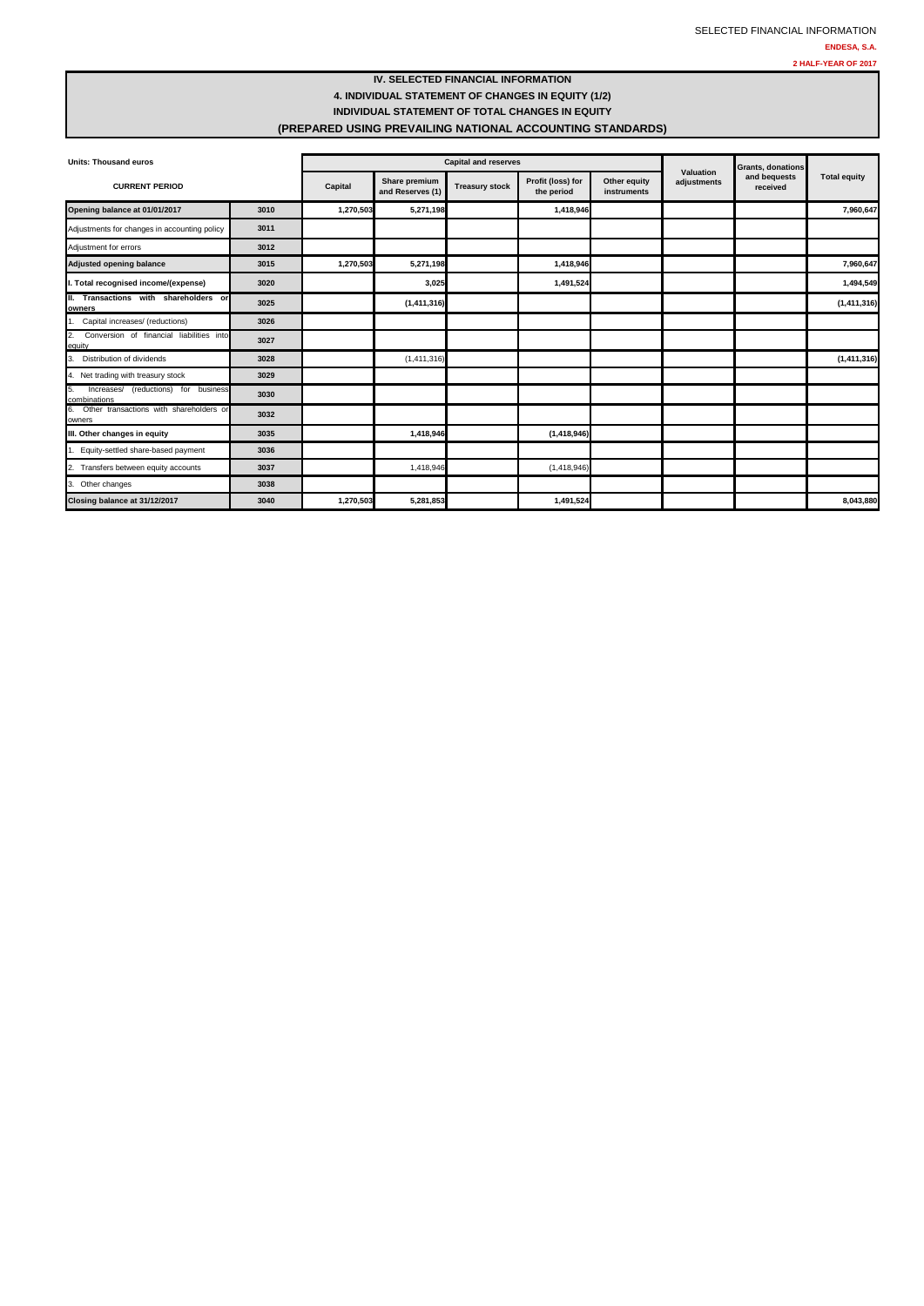### **IV. SELECTED FINANCIAL INFORMATION 4. INDIVIDUAL STATEMENT OF CHANGES IN EQUITY (1/2) INDIVIDUAL STATEMENT OF TOTAL CHANGES IN EQUITY (PREPARED USING PREVAILING NATIONAL ACCOUNTING STANDARDS)**

| <b>Units: Thousand euros</b>                               |      |           | <b>Capital and reserves</b>       |                       |                                 |                             |                          |                                                      |                     |
|------------------------------------------------------------|------|-----------|-----------------------------------|-----------------------|---------------------------------|-----------------------------|--------------------------|------------------------------------------------------|---------------------|
| <b>CURRENT PERIOD</b>                                      |      | Capital   | Share premium<br>and Reserves (1) | <b>Treasury stock</b> | Profit (loss) for<br>the period | Other equity<br>instruments | Valuation<br>adjustments | <b>Grants, donations</b><br>and bequests<br>received | <b>Total equity</b> |
| Opening balance at 01/01/2017                              | 3010 | 1,270,503 | 5,271,198                         |                       | 1,418,946                       |                             |                          |                                                      | 7,960,647           |
| Adjustments for changes in accounting policy               | 3011 |           |                                   |                       |                                 |                             |                          |                                                      |                     |
| Adjustment for errors                                      | 3012 |           |                                   |                       |                                 |                             |                          |                                                      |                     |
| <b>Adjusted opening balance</b>                            | 3015 | 1,270,503 | 5,271,198                         |                       | 1,418,946                       |                             |                          |                                                      | 7,960,647           |
| I. Total recognised income/(expense)                       | 3020 |           | 3,025                             |                       | 1,491,524                       |                             |                          |                                                      | 1,494,549           |
| II. Transactions with shareholders or<br>owners            | 3025 |           | (1, 411, 316)                     |                       |                                 |                             |                          |                                                      | (1, 411, 316)       |
| Capital increases/ (reductions)                            | 3026 |           |                                   |                       |                                 |                             |                          |                                                      |                     |
| 2.<br>Conversion of financial liabilities into<br>equity   | 3027 |           |                                   |                       |                                 |                             |                          |                                                      |                     |
| 3.<br>Distribution of dividends                            | 3028 |           | (1, 411, 316)                     |                       |                                 |                             |                          |                                                      | (1, 411, 316)       |
| 4. Net trading with treasury stock                         | 3029 |           |                                   |                       |                                 |                             |                          |                                                      |                     |
| 5.<br>Increases/ (reductions) for business<br>combinations | 3030 |           |                                   |                       |                                 |                             |                          |                                                      |                     |
| 6.<br>Other transactions with shareholders or<br>owners    | 3032 |           |                                   |                       |                                 |                             |                          |                                                      |                     |
| III. Other changes in equity                               | 3035 |           | 1,418,946                         |                       | (1,418,946)                     |                             |                          |                                                      |                     |
| Equity-settled share-based payment                         | 3036 |           |                                   |                       |                                 |                             |                          |                                                      |                     |
| 2.<br>Transfers between equity accounts                    | 3037 |           | 1,418,946                         |                       | (1,418,946)                     |                             |                          |                                                      |                     |
| 3. Other changes                                           | 3038 |           |                                   |                       |                                 |                             |                          |                                                      |                     |
| Closing balance at 31/12/2017                              | 3040 | 1,270,503 | 5.281.853                         |                       | 1.491.524                       |                             |                          |                                                      | 8.043.880           |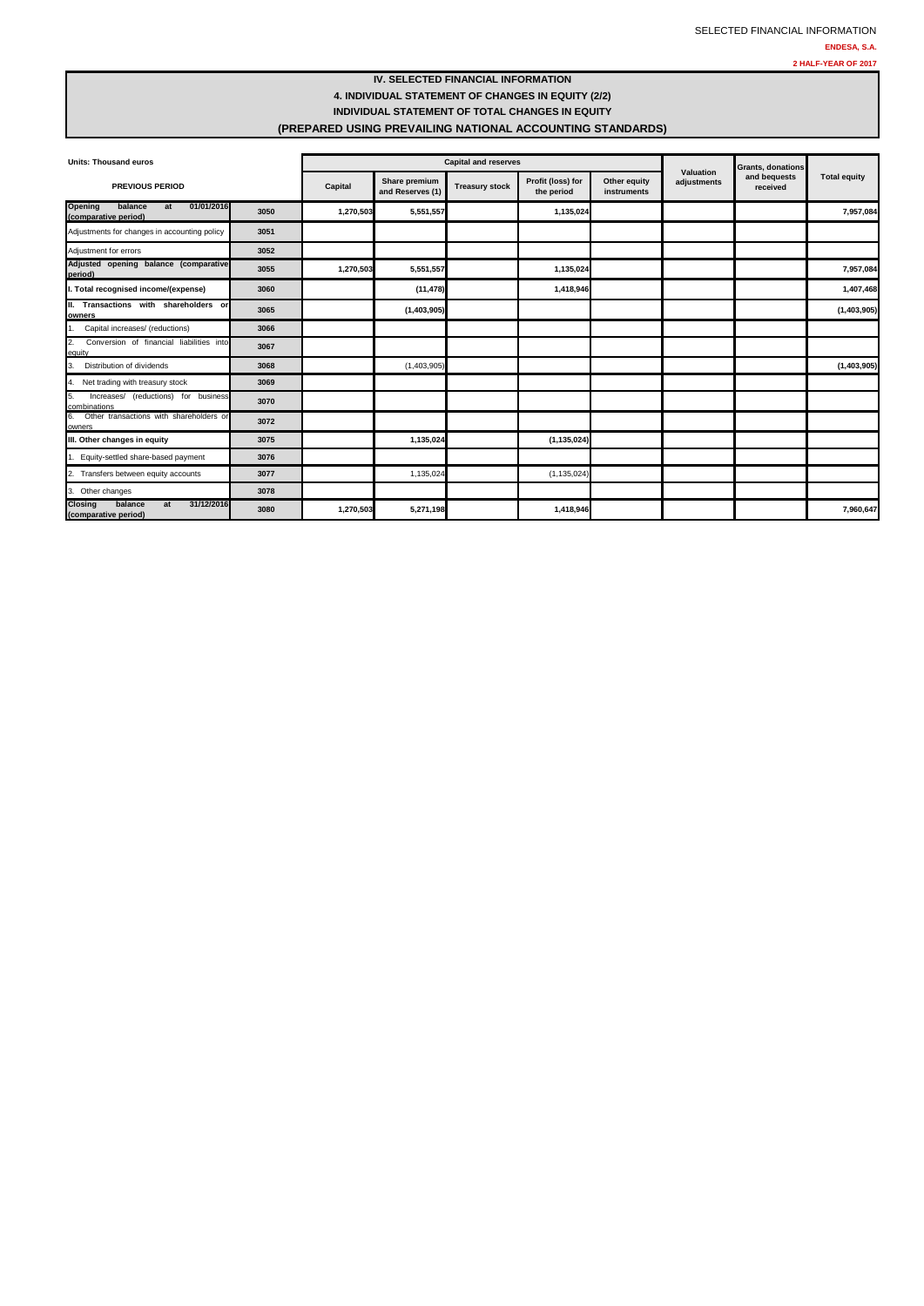### **IV. SELECTED FINANCIAL INFORMATION 4. INDIVIDUAL STATEMENT OF CHANGES IN EQUITY (2/2) INDIVIDUAL STATEMENT OF TOTAL CHANGES IN EQUITY (PREPARED USING PREVAILING NATIONAL ACCOUNTING STANDARDS)**

| <b>Units: Thousand euros</b>                                          |      | <b>Capital and reserves</b> |                                   |                       |                                 |                             | Valuation   | Grants, donations        |                     |
|-----------------------------------------------------------------------|------|-----------------------------|-----------------------------------|-----------------------|---------------------------------|-----------------------------|-------------|--------------------------|---------------------|
| <b>PREVIOUS PERIOD</b>                                                |      | Capital                     | Share premium<br>and Reserves (1) | <b>Treasury stock</b> | Profit (loss) for<br>the period | Other equity<br>instruments | adiustments | and bequests<br>received | <b>Total equity</b> |
| <b>Opening</b><br>01/01/2016<br>balance<br>at<br>(comparative period) | 3050 | 1,270,503                   | 5,551,557                         |                       | 1,135,024                       |                             |             |                          | 7,957,084           |
| Adjustments for changes in accounting policy                          | 3051 |                             |                                   |                       |                                 |                             |             |                          |                     |
| Adjustment for errors                                                 | 3052 |                             |                                   |                       |                                 |                             |             |                          |                     |
| Adjusted opening balance (comparative<br>period)                      | 3055 | 1,270,503                   | 5,551,557                         |                       | 1,135,024                       |                             |             |                          | 7,957,084           |
| . Total recognised income/(expense)                                   | 3060 |                             | (11, 478)                         |                       | 1,418,946                       |                             |             |                          | 1,407,468           |
| II. Transactions with shareholders or<br>owners                       | 3065 |                             | (1,403,905)                       |                       |                                 |                             |             |                          | (1,403,905)         |
| Capital increases/ (reductions)                                       | 3066 |                             |                                   |                       |                                 |                             |             |                          |                     |
| Conversion of financial liabilities into<br>2.<br>equity              | 3067 |                             |                                   |                       |                                 |                             |             |                          |                     |
| Distribution of dividends<br>3.                                       | 3068 |                             | (1,403,905)                       |                       |                                 |                             |             |                          | (1,403,905)         |
| 4. Net trading with treasury stock                                    | 3069 |                             |                                   |                       |                                 |                             |             |                          |                     |
| 5.<br>Increases/ (reductions) for business<br>combinations            | 3070 |                             |                                   |                       |                                 |                             |             |                          |                     |
| Other transactions with shareholders or<br>owners                     | 3072 |                             |                                   |                       |                                 |                             |             |                          |                     |
| III. Other changes in equity                                          | 3075 |                             | 1,135,024                         |                       | (1, 135, 024)                   |                             |             |                          |                     |
| Equity-settled share-based payment                                    | 3076 |                             |                                   |                       |                                 |                             |             |                          |                     |
| Transfers between equity accounts<br>2.                               | 3077 |                             | 1,135,024                         |                       | (1, 135, 024)                   |                             |             |                          |                     |
| 3. Other changes                                                      | 3078 |                             |                                   |                       |                                 |                             |             |                          |                     |
| balance<br>31/12/2016<br><b>Closing</b><br>at<br>(comparative period) | 3080 | 1,270,503                   | 5,271,198                         |                       | 1,418,946                       |                             |             |                          | 7,960,647           |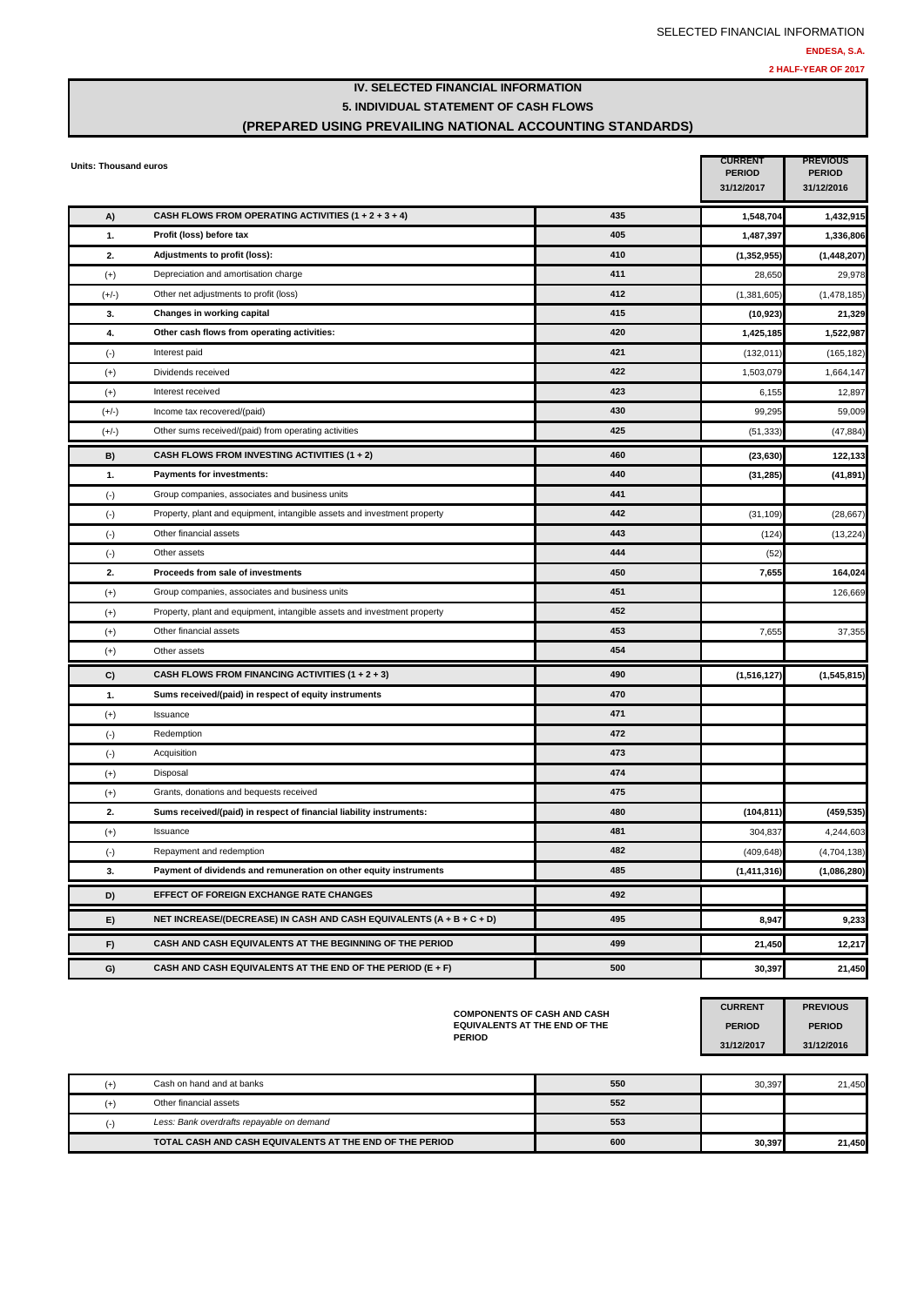### **IV. SELECTED FINANCIAL INFORMATION 5. INDIVIDUAL STATEMENT OF CASH FLOWS (PREPARED USING PREVAILING NATIONAL ACCOUNTING STANDARDS)**

| <b>Units: Thousand euros</b> |                                                                          |     | <b>CURRENT</b><br><b>PERIOD</b><br>31/12/2017 | <b>PREVIOUS</b><br><b>PERIOD</b><br>31/12/2016 |
|------------------------------|--------------------------------------------------------------------------|-----|-----------------------------------------------|------------------------------------------------|
| A)                           | CASH FLOWS FROM OPERATING ACTIVITIES $(1 + 2 + 3 + 4)$                   | 435 | 1,548,704                                     | 1,432,915                                      |
| 1.                           | Profit (loss) before tax                                                 | 405 | 1,487,397                                     | 1,336,806                                      |
| 2.                           | Adjustments to profit (loss):                                            | 410 | (1, 352, 955)                                 | (1,448,207)                                    |
| $(+)$                        | Depreciation and amortisation charge                                     | 411 | 28,650                                        | 29,978                                         |
| $(+/-)$                      | Other net adjustments to profit (loss)                                   | 412 | (1, 381, 605)                                 | (1,478,185)                                    |
| 3.                           | Changes in working capital                                               | 415 | (10, 923)                                     | 21,329                                         |
| 4.                           | Other cash flows from operating activities:                              | 420 | 1,425,185                                     | 1,522,987                                      |
| $(\cdot)$                    | Interest paid                                                            | 421 | (132, 011)                                    | (165, 182)                                     |
| $(+)$                        | Dividends received                                                       | 422 | 1,503,079                                     | 1,664,147                                      |
| $(+)$                        | Interest received                                                        | 423 | 6,155                                         | 12,897                                         |
| $(+/-)$                      | Income tax recovered/(paid)                                              | 430 | 99,295                                        | 59,009                                         |
| $(+/-)$                      | Other sums received/(paid) from operating activities                     | 425 | (51, 333)                                     | (47, 884)                                      |
| B)                           | CASH FLOWS FROM INVESTING ACTIVITIES (1 + 2)                             | 460 | (23, 630)                                     | 122,133                                        |
| 1.                           | Payments for investments:                                                | 440 | (31, 285)                                     | (41, 891)                                      |
| $(\cdot)$                    | Group companies, associates and business units                           | 441 |                                               |                                                |
| $(-)$                        | Property, plant and equipment, intangible assets and investment property | 442 | (31, 109)                                     | (28, 667)                                      |
| $(\cdot)$                    | Other financial assets                                                   | 443 | (124)                                         | (13, 224)                                      |
| $(\cdot)$                    | Other assets                                                             | 444 | (52)                                          |                                                |
| 2.                           | Proceeds from sale of investments                                        | 450 | 7,655                                         | 164,024                                        |
| $(+)$                        | Group companies, associates and business units                           | 451 |                                               | 126,669                                        |
| $(+)$                        | Property, plant and equipment, intangible assets and investment property | 452 |                                               |                                                |
| $(+)$                        | Other financial assets                                                   | 453 | 7,655                                         | 37,355                                         |
| $(+)$                        | Other assets                                                             | 454 |                                               |                                                |
| C)                           | CASH FLOWS FROM FINANCING ACTIVITIES $(1 + 2 + 3)$                       | 490 | (1,516,127)                                   | (1, 545, 815)                                  |
| 1.                           | Sums received/(paid) in respect of equity instruments                    | 470 |                                               |                                                |
| $^{(+)}$                     | Issuance                                                                 | 471 |                                               |                                                |
| $(\cdot)$                    | Redemption                                                               | 472 |                                               |                                                |
| $(\cdot)$                    | Acquisition                                                              | 473 |                                               |                                                |
| $(+)$                        | Disposal                                                                 | 474 |                                               |                                                |
| $(+)$                        | Grants, donations and bequests received                                  | 475 |                                               |                                                |
| 2.                           | Sums received/(paid) in respect of financial liability instruments:      | 480 | (104, 811)                                    | (459, 535)                                     |
| $(+)$                        | Issuance                                                                 | 481 | 304,837                                       | 4,244,603                                      |
| $(\cdot)$                    | Repayment and redemption                                                 | 482 | (409, 648)                                    | (4,704,138)                                    |
| 3.                           | Payment of dividends and remuneration on other equity instruments        | 485 | (1, 411, 316)                                 | (1,086,280)                                    |
| D)                           | EFFECT OF FOREIGN EXCHANGE RATE CHANGES                                  | 492 |                                               |                                                |
| E)                           | NET INCREASE/(DECREASE) IN CASH AND CASH EQUIVALENTS (A + B + C + D)     | 495 | 8,947                                         | 9,233                                          |
| F)                           | CASH AND CASH EQUIVALENTS AT THE BEGINNING OF THE PERIOD                 | 499 | 21,450                                        | 12,217                                         |
| G)                           | CASH AND CASH EQUIVALENTS AT THE END OF THE PERIOD (E + F)               | 500 | 30,397                                        | 21,450                                         |

**COMPONENTS OF CASH AND CASH EQUIVALENTS AT THE END OF THE PERIOD**

**CURRENT PREVIOUS PERIOD PERIOD 31/12/2017 31/12/2016**

| Cash on hand and at banks                                | 550 | 30.397 | 21.450 |
|----------------------------------------------------------|-----|--------|--------|
| Other financial assets                                   | 552 |        |        |
| Less: Bank overdrafts repayable on demand                | 553 |        |        |
| TOTAL CASH AND CASH EQUIVALENTS AT THE END OF THE PERIOD | 600 | 30,397 | 21,450 |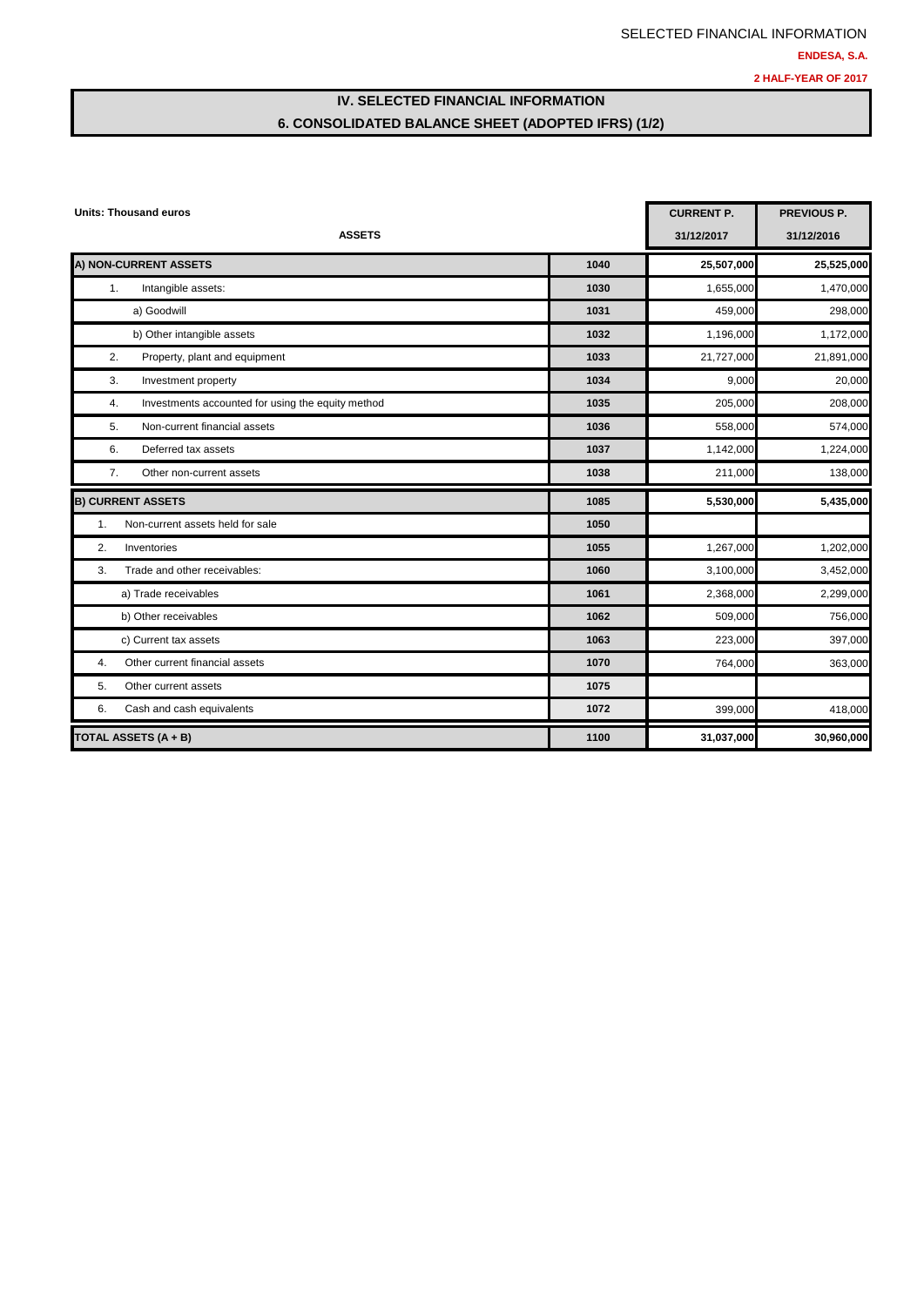# SELECTED FINANCIAL INFORMATION **ENDESA, S.A. 2 HALF-YEAR OF 2017**

# **IV. SELECTED FINANCIAL INFORMATION 6. CONSOLIDATED BALANCE SHEET (ADOPTED IFRS) (1/2)**

| <b>Units: Thousand euros</b>                            | <b>CURRENT P.</b> | <b>PREVIOUS P.</b> |            |
|---------------------------------------------------------|-------------------|--------------------|------------|
| <b>ASSETS</b>                                           |                   | 31/12/2017         | 31/12/2016 |
| A) NON-CURRENT ASSETS                                   | 1040              | 25,507,000         | 25,525,000 |
| Intangible assets:<br>1.                                | 1030              | 1,655,000          | 1,470,000  |
| a) Goodwill                                             | 1031              | 459,000            | 298,000    |
| b) Other intangible assets                              | 1032              | 1,196,000          | 1,172,000  |
| 2.<br>Property, plant and equipment                     | 1033              | 21,727,000         | 21,891,000 |
| 3.<br>Investment property                               | 1034              | 9,000              | 20,000     |
| Investments accounted for using the equity method<br>4. | 1035              | 205,000            | 208,000    |
| 5.<br>Non-current financial assets                      | 1036              | 558,000            | 574,000    |
| Deferred tax assets<br>6.                               | 1037              | 1,142,000          | 1,224,000  |
| 7.<br>Other non-current assets                          | 1038              | 211,000            | 138,000    |
| <b>B) CURRENT ASSETS</b>                                | 1085              | 5,530,000          | 5,435,000  |
| $\mathbf{1}$ .<br>Non-current assets held for sale      | 1050              |                    |            |
| 2.<br>Inventories                                       | 1055              | 1,267,000          | 1,202,000  |
| Trade and other receivables:<br>3.                      | 1060              | 3,100,000          | 3,452,000  |
| a) Trade receivables                                    | 1061              | 2,368,000          | 2,299,000  |
| b) Other receivables                                    | 1062              | 509,000            | 756,000    |
| c) Current tax assets                                   | 1063              | 223,000            | 397,000    |
| Other current financial assets<br>4.                    | 1070              | 764,000            | 363,000    |
| Other current assets<br>5.                              | 1075              |                    |            |
| Cash and cash equivalents<br>6.                         | 1072              | 399,000            | 418,000    |
| <b>TOTAL ASSETS (A + B)</b>                             | 1100              | 31,037,000         | 30,960,000 |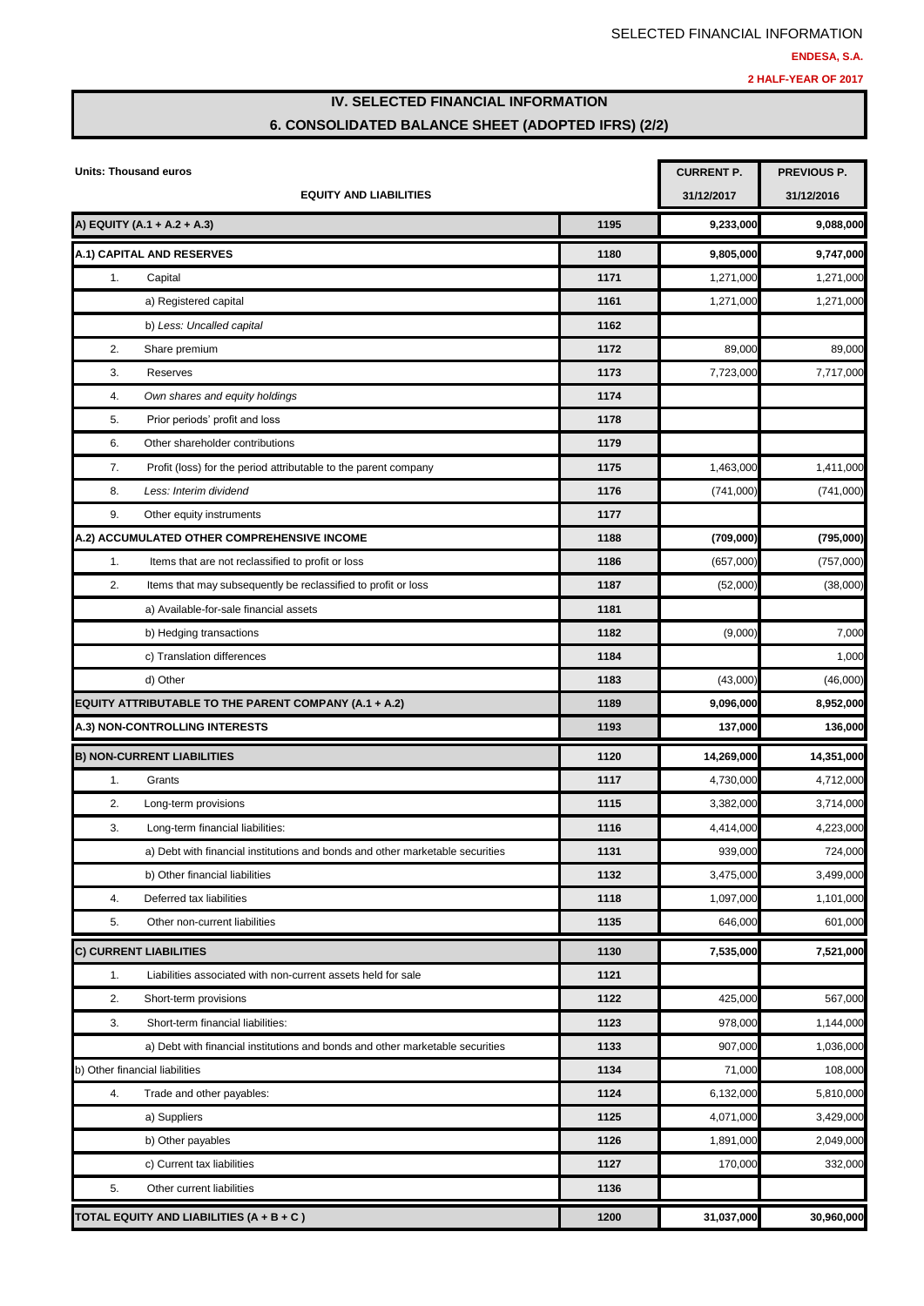# **IV. SELECTED FINANCIAL INFORMATION 6. CONSOLIDATED BALANCE SHEET (ADOPTED IFRS) (2/2)**

|    | Units: Thousand euros                                                         | <b>CURRENT P.</b> | <b>PREVIOUS P.</b> |            |
|----|-------------------------------------------------------------------------------|-------------------|--------------------|------------|
|    | <b>EQUITY AND LIABILITIES</b>                                                 |                   | 31/12/2017         | 31/12/2016 |
|    | A) EQUITY (A.1 + A.2 + A.3)                                                   | 1195              | 9,233,000          | 9,088,000  |
|    | A.1) CAPITAL AND RESERVES                                                     | 1180              | 9,805,000          | 9,747,000  |
| 1. | Capital                                                                       | 1171              | 1,271,000          | 1,271,000  |
|    | a) Registered capital                                                         | 1161              | 1,271,000          | 1,271,000  |
|    | b) Less: Uncalled capital                                                     | 1162              |                    |            |
| 2. | Share premium                                                                 | 1172              | 89,000             | 89,000     |
| 3. | Reserves                                                                      | 1173              | 7,723,000          | 7,717,000  |
| 4. | Own shares and equity holdings                                                | 1174              |                    |            |
| 5. | Prior periods' profit and loss                                                | 1178              |                    |            |
| 6. | Other shareholder contributions                                               | 1179              |                    |            |
| 7. | Profit (loss) for the period attributable to the parent company               | 1175              | 1,463,000          | 1,411,000  |
| 8. | Less: Interim dividend                                                        | 1176              | (741,000)          | (741,000)  |
| 9. | Other equity instruments                                                      | 1177              |                    |            |
|    | A.2) ACCUMULATED OTHER COMPREHENSIVE INCOME                                   | 1188              | (709,000)          | (795,000)  |
| 1. | Items that are not reclassified to profit or loss                             | 1186              | (657,000)          | (757,000)  |
| 2. | Items that may subsequently be reclassified to profit or loss                 | 1187              | (52,000)           | (38,000)   |
|    | a) Available-for-sale financial assets                                        | 1181              |                    |            |
|    | b) Hedging transactions                                                       | 1182              | (9,000)            | 7,000      |
|    | c) Translation differences                                                    | 1184              |                    | 1,000      |
|    | d) Other                                                                      | 1183              | (43,000)           | (46,000)   |
|    | <b>EQUITY ATTRIBUTABLE TO THE PARENT COMPANY (A.1 + A.2)</b>                  | 1189              | 9,096,000          | 8,952,000  |
|    | A.3) NON-CONTROLLING INTERESTS                                                | 1193              | 137,000            | 136,000    |
|    | <b>B) NON-CURRENT LIABILITIES</b>                                             | 1120              | 14,269,000         | 14,351,000 |
| 1. | Grants                                                                        | 1117              | 4,730,000          | 4,712,000  |
| 2. | Long-term provisions                                                          | 1115              | 3,382,000          | 3,714,000  |
| 3. | Long-term financial liabilities:                                              | 1116              | 4,414,000          | 4,223,000  |
|    | a) Debt with financial institutions and bonds and other marketable securities | 1131              | 939,000            | 724,000    |
|    | b) Other financial liabilities                                                | 1132              | 3,475,000          | 3,499,000  |
| 4. | Deferred tax liabilities                                                      | 1118              | 1,097,000          | 1,101,000  |
| 5. | Other non-current liabilities                                                 | 1135              | 646,000            | 601,000    |
|    | C) CURRENT LIABILITIES                                                        | 1130              | 7,535,000          | 7,521,000  |
| 1. | Liabilities associated with non-current assets held for sale                  | 1121              |                    |            |
| 2. | Short-term provisions                                                         | 1122              | 425,000            | 567,000    |
| 3. | Short-term financial liabilities:                                             | 1123              | 978,000            | 1,144,000  |
|    | a) Debt with financial institutions and bonds and other marketable securities | 1133              | 907,000            | 1,036,000  |
|    | b) Other financial liabilities                                                | 1134              | 71,000             | 108,000    |
| 4. | Trade and other payables:                                                     | 1124              | 6,132,000          | 5,810,000  |
|    | a) Suppliers                                                                  | 1125              | 4,071,000          | 3,429,000  |
|    | b) Other payables                                                             | 1126              | 1,891,000          | 2,049,000  |
|    | c) Current tax liabilities                                                    | 1127              | 170,000            | 332,000    |
| 5. | Other current liabilities                                                     | 1136              |                    |            |
|    | TOTAL EQUITY AND LIABILITIES (A + B + C)                                      | 1200              | 31,037,000         | 30,960,000 |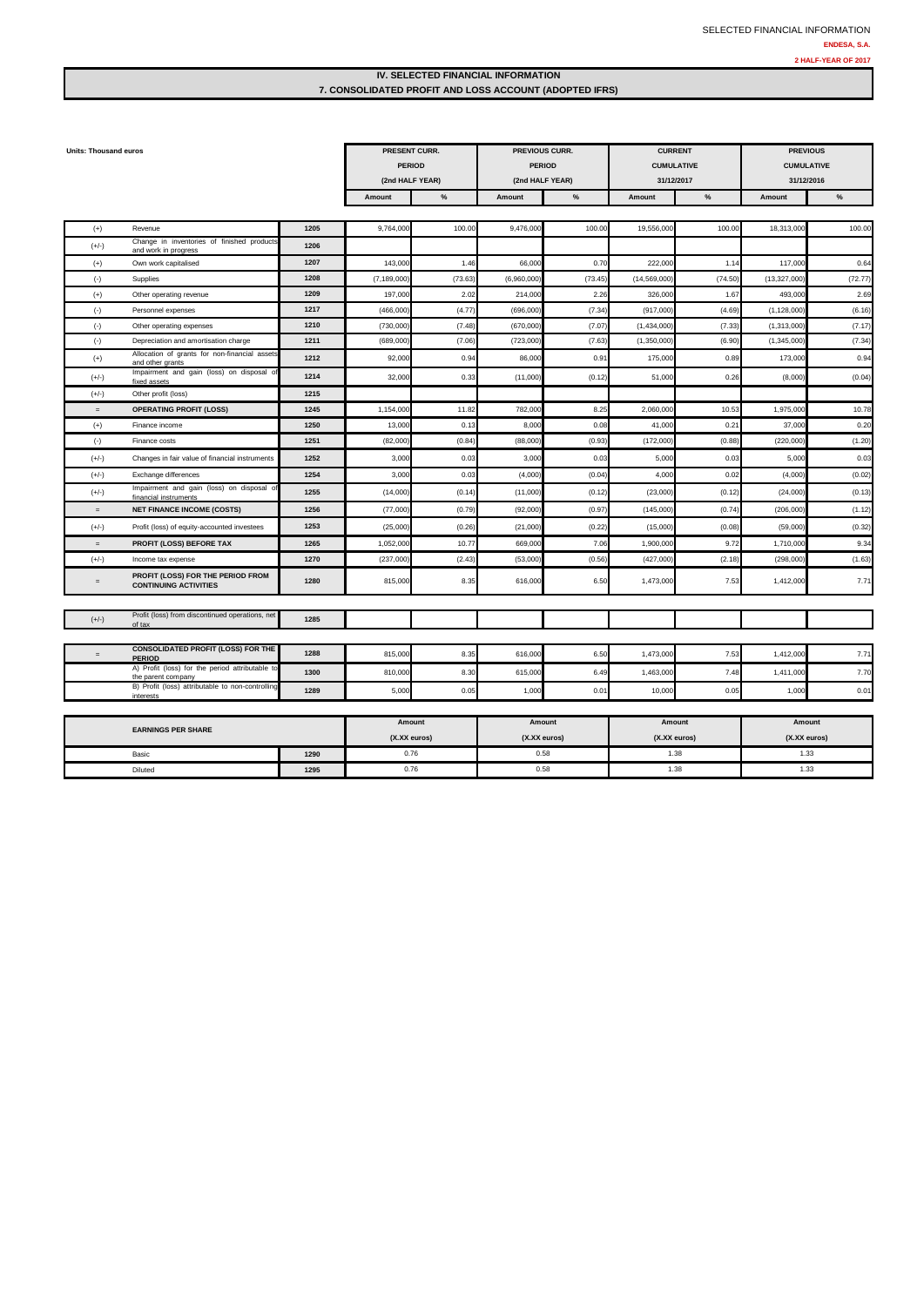### **IV. SELECTED FINANCIAL INFORMATION 7. CONSOLIDATED PROFIT AND LOSS ACCOUNT (ADOPTED IFRS)**

| <b>Units: Thousand euros</b> |                                                                       | PRESENT CURR.<br><b>PERIOD</b><br>(2nd HALF YEAR) |               | PREVIOUS CURR.<br><b>PERIOD</b><br>(2nd HALF YEAR) |              | <b>CURRENT</b><br><b>CUMULATIVE</b><br>31/12/2017 |               | <b>PREVIOUS</b><br><b>CUMULATIVE</b><br>31/12/2016 |               |               |
|------------------------------|-----------------------------------------------------------------------|---------------------------------------------------|---------------|----------------------------------------------------|--------------|---------------------------------------------------|---------------|----------------------------------------------------|---------------|---------------|
|                              |                                                                       |                                                   | Amount        | $\%$                                               | Amount       | $\%$                                              | Amount        | %                                                  | Amount        | $\frac{9}{6}$ |
|                              |                                                                       |                                                   |               |                                                    |              |                                                   |               |                                                    |               |               |
| $(+)$                        | Revenue                                                               | 1205                                              | 9,764,000     | 100.00                                             | 9,476,000    | 100.00                                            | 19,556,000    | 100.00                                             | 18,313,000    | 100.00        |
| $(+/-)$                      | Change in inventories of finished products<br>and work in progress    | 1206                                              |               |                                                    |              |                                                   |               |                                                    |               |               |
| $(+)$                        | Own work capitalised                                                  | 1207                                              | 143,000       | 1.46                                               | 66,000       | 0.70                                              | 222,00        | 1.14                                               | 117,00        | 0.64          |
| $(-)$                        | Supplies                                                              | 1208                                              | (7, 189, 000) | (73.63)                                            | (6,960,000)  | (73.45)                                           | (14, 569, 000 | (74.50                                             | (13, 327, 000 | (72.77)       |
| $(+)$                        | Other operating revenue                                               | 1209                                              | 197,000       | 2.02                                               | 214,000      | 2.26                                              | 326,000       | 1.67                                               | 493,00        | 2.69          |
| $(\cdot)$                    | Personnel expenses                                                    | 1217                                              | (466,000)     | (4.77)                                             | (696,000     | (7.34)                                            | (917,000      | (4.69)                                             | (1, 128, 000) | (6.16)        |
| $(\cdot)$                    | Other operating expenses                                              | 1210                                              | (730,000)     | (7.48)                                             | (670,000)    | (7.07                                             | (1,434,000)   | (7.33)                                             | (1,313,000)   | (7.17)        |
| $(\cdot)$                    | Depreciation and amortisation charge                                  | 1211                                              | (689,000)     | (7.06)                                             | (723,000)    | (7.63)                                            | (1,350,000)   | (6.90)                                             | (1,345,000)   | (7.34)        |
| $(+)$                        | Allocation of grants for non-financial assets<br>and other grants     | 1212                                              | 92,000        | 0.94                                               | 86,000       | 0.9 <sup>°</sup>                                  | 175,000       | 0.89                                               | 173,00        | 0.94          |
| $(+/-)$                      | Impairment and gain (loss) on disposal o<br>fixed assets              | 1214                                              | 32,000        | 0.33                                               | (11,000)     | (0.12)                                            | 51,000        | 0.26                                               | (8,000)       | (0.04)        |
| $(+/-)$                      | Other profit (loss)                                                   | 1215                                              |               |                                                    |              |                                                   |               |                                                    |               |               |
| $=$                          | <b>OPERATING PROFIT (LOSS)</b>                                        | 1245                                              | 1,154,000     | 11.82                                              | 782,000      | 8.25                                              | 2,060,00      | 10.5                                               | 1,975,00      | 10.78         |
| $(+)$                        | Finance income                                                        | 1250                                              | 13,000        | 0.13                                               | 8,000        | 0.08                                              | 41,000        | $0.2^{\circ}$                                      | 37,00         | 0.20          |
| $(\cdot)$                    | Finance costs                                                         | 1251                                              | (82,000)      | (0.84)                                             | (88,000)     | (0.93)                                            | (172,000      | (0.88)                                             | (220,000)     | (1.20)        |
| $(+/-)$                      | Changes in fair value of financial instruments                        | 1252                                              | 3,000         | 0.03                                               | 3,000        | 0.03                                              | 5,000         | 0.03                                               | 5,000         | 0.03          |
| $(+/-)$                      | Exchange differences                                                  | 1254                                              | 3,000         | 0.03                                               | (4,000)      | (0.04)                                            | 4,000         | 0.02                                               | (4,000)       | (0.02)        |
| $(+/-)$                      | Impairment and gain (loss) on disposal of<br>financial instruments    | 1255                                              | (14,000)      | (0.14)                                             | (11,000)     | (0.12)                                            | (23,000)      | (0.12)                                             | (24,000)      | (0.13)        |
| $=$                          | <b>NET FINANCE INCOME (COSTS)</b>                                     | 1256                                              | (77,000)      | (0.79)                                             | (92,000)     | (0.97)                                            | (145,000)     | (0.74)                                             | (206, 000)    | (1.12)        |
| $(+/-)$                      | Profit (loss) of equity-accounted investees                           | 1253                                              | (25,000)      | (0.26)                                             | (21,000)     | (0.22)                                            | (15,000)      | (0.08)                                             | (59,000)      | (0.32)        |
| $=$                          | PROFIT (LOSS) BEFORE TAX                                              | 1265                                              | 1,052,000     | 10.77                                              | 669,000      | 7.06                                              | 1,900,00      | 9.72                                               | 1,710,00      | 9.34          |
| $(+/-)$                      | Income tax expense                                                    | 1270                                              | (237,000)     | (2.43)                                             | (53,000)     | (0.56)                                            | (427,000)     | (2.18)                                             | (298,000)     | (1.63)        |
| $=$                          | PROFIT (LOSS) FOR THE PERIOD FROM<br><b>CONTINUING ACTIVITIES</b>     | 1280                                              | 815,000       | 8.35                                               | 616,000      | 6.50                                              | 1,473,000     | 7.53                                               | 1,412,000     | 7.71          |
|                              |                                                                       |                                                   |               |                                                    |              |                                                   |               |                                                    |               |               |
| $(+/-)$                      | Profit (loss) from discontinued operations, net<br>of tax             | 1285                                              |               |                                                    |              |                                                   |               |                                                    |               |               |
|                              |                                                                       |                                                   |               |                                                    |              |                                                   |               |                                                    |               |               |
| $=$                          | <b>CONSOLIDATED PROFIT (LOSS) FOR THE</b><br><b>PERIOD</b>            | 1288                                              | 815,000       | 8.35                                               | 616,000      | 6.50                                              | 1,473,00      | 7.53                                               | 1,412,00      | 7.71          |
|                              | A) Profit (loss) for the period attributable to<br>the parent company | 1300                                              | 810,000       | 8.30                                               | 615,000      | 6.49                                              | 1,463,000     | 7.41                                               | 1,411,00      | 7.70          |
|                              | B) Profit (loss) attributable to non-controlling<br>interests         | 1289                                              | 5,000         | 0.05                                               | 1,000        | 0.01                                              | 10,000        | 0.05                                               | 1,000         | 0.01          |
|                              |                                                                       |                                                   |               |                                                    |              |                                                   |               |                                                    |               |               |
|                              | <b>EARNINGS PER SHARE</b>                                             |                                                   | Amount        |                                                    | Amount       |                                                   | Amount        |                                                    | Amount        |               |
|                              |                                                                       |                                                   | (X.XX euros)  |                                                    | (X.XX euros) |                                                   | (X.XX euros)  |                                                    | (X.XX euros)  |               |
|                              | Basic                                                                 | 1290                                              | 0.76          |                                                    | 0.58         |                                                   | 1.38          |                                                    | 1.33          |               |
|                              | Diluted                                                               | 1295                                              | 0.76          |                                                    | 0.58         |                                                   | 1.38          |                                                    | 1.33          |               |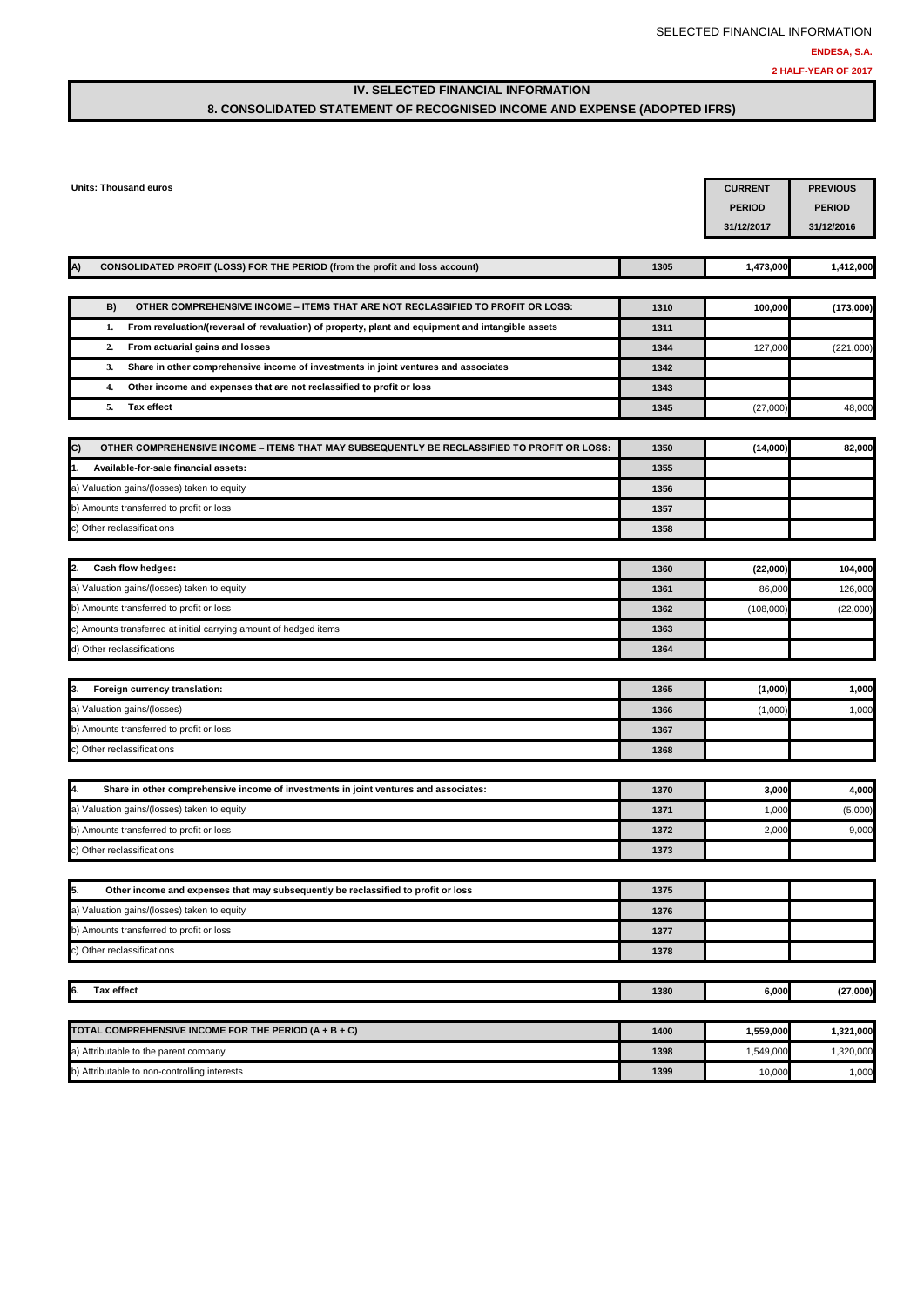## **IV. SELECTED FINANCIAL INFORMATION 8. CONSOLIDATED STATEMENT OF RECOGNISED INCOME AND EXPENSE (ADOPTED IFRS)**

| Units: Thousand euros                                                                                   |      | <b>CURRENT</b><br><b>PERIOD</b><br>31/12/2017 | <b>PREVIOUS</b><br><b>PERIOD</b><br>31/12/2016 |
|---------------------------------------------------------------------------------------------------------|------|-----------------------------------------------|------------------------------------------------|
| A)<br>CONSOLIDATED PROFIT (LOSS) FOR THE PERIOD (from the profit and loss account)                      | 1305 | 1,473,000                                     | 1,412,000                                      |
| B)<br>OTHER COMPREHENSIVE INCOME - ITEMS THAT ARE NOT RECLASSIFIED TO PROFIT OR LOSS:                   | 1310 | 100,000                                       | (173,000)                                      |
| From revaluation/(reversal of revaluation) of property, plant and equipment and intangible assets<br>1. | 1311 |                                               |                                                |
| From actuarial gains and losses<br>2.                                                                   | 1344 | 127,000                                       | (221,000)                                      |
| Share in other comprehensive income of investments in joint ventures and associates<br>3.               | 1342 |                                               |                                                |
| 4.<br>Other income and expenses that are not reclassified to profit or loss                             | 1343 |                                               |                                                |
| Tax effect<br>5.                                                                                        | 1345 | (27,000)                                      | 48,000                                         |
| C)<br>OTHER COMPREHENSIVE INCOME - ITEMS THAT MAY SUBSEQUENTLY BE RECLASSIFIED TO PROFIT OR LOSS:       | 1350 | (14,000)                                      | 82,000                                         |
| 1.<br>Available-for-sale financial assets:                                                              | 1355 |                                               |                                                |
| a) Valuation gains/(losses) taken to equity                                                             | 1356 |                                               |                                                |
| b) Amounts transferred to profit or loss                                                                | 1357 |                                               |                                                |
| c) Other reclassifications                                                                              | 1358 |                                               |                                                |
| Cash flow hedges:<br>2.                                                                                 | 1360 | (22,000)                                      | 104,000                                        |
| a) Valuation gains/(losses) taken to equity                                                             | 1361 | 86,000                                        | 126,000                                        |
| b) Amounts transferred to profit or loss                                                                | 1362 | (108,000)                                     | (22,000)                                       |
| c) Amounts transferred at initial carrying amount of hedged items                                       | 1363 |                                               |                                                |
| d) Other reclassifications                                                                              | 1364 |                                               |                                                |
| Foreign currency translation:<br>3.                                                                     | 1365 | (1,000)                                       | 1,000                                          |
| a) Valuation gains/(losses)                                                                             | 1366 | (1,000)                                       | 1,000                                          |
| b) Amounts transferred to profit or loss                                                                | 1367 |                                               |                                                |
| c) Other reclassifications                                                                              | 1368 |                                               |                                                |
| 4.<br>Share in other comprehensive income of investments in joint ventures and associates:              | 1370 | 3,000                                         | 4,000                                          |
| a) Valuation gains/(losses) taken to equity                                                             | 1371 | 1,000                                         | (5,000)                                        |
| b) Amounts transferred to profit or loss                                                                | 1372 | 2,000                                         | 9,000                                          |
| c) Other reclassifications                                                                              | 1373 |                                               |                                                |
| 5.<br>Other income and expenses that may subsequently be reclassified to profit or loss                 | 1375 |                                               |                                                |
| a) Valuation gains/(losses) taken to equity                                                             | 1376 |                                               |                                                |
| b) Amounts transferred to profit or loss                                                                | 1377 |                                               |                                                |
| c) Other reclassifications                                                                              | 1378 |                                               |                                                |
| 6.<br>Tax effect                                                                                        | 1380 | 6,000                                         | (27,000)                                       |
|                                                                                                         |      |                                               |                                                |
| TOTAL COMPREHENSIVE INCOME FOR THE PERIOD (A + B + C)                                                   | 1400 | 1,559,000                                     | 1,321,000                                      |
| a) Attributable to the parent company<br>b) Attributable to non-controlling interests                   | 1398 | 1,549,000                                     | 1,320,000                                      |
|                                                                                                         | 1399 | 10,000                                        | 1,000                                          |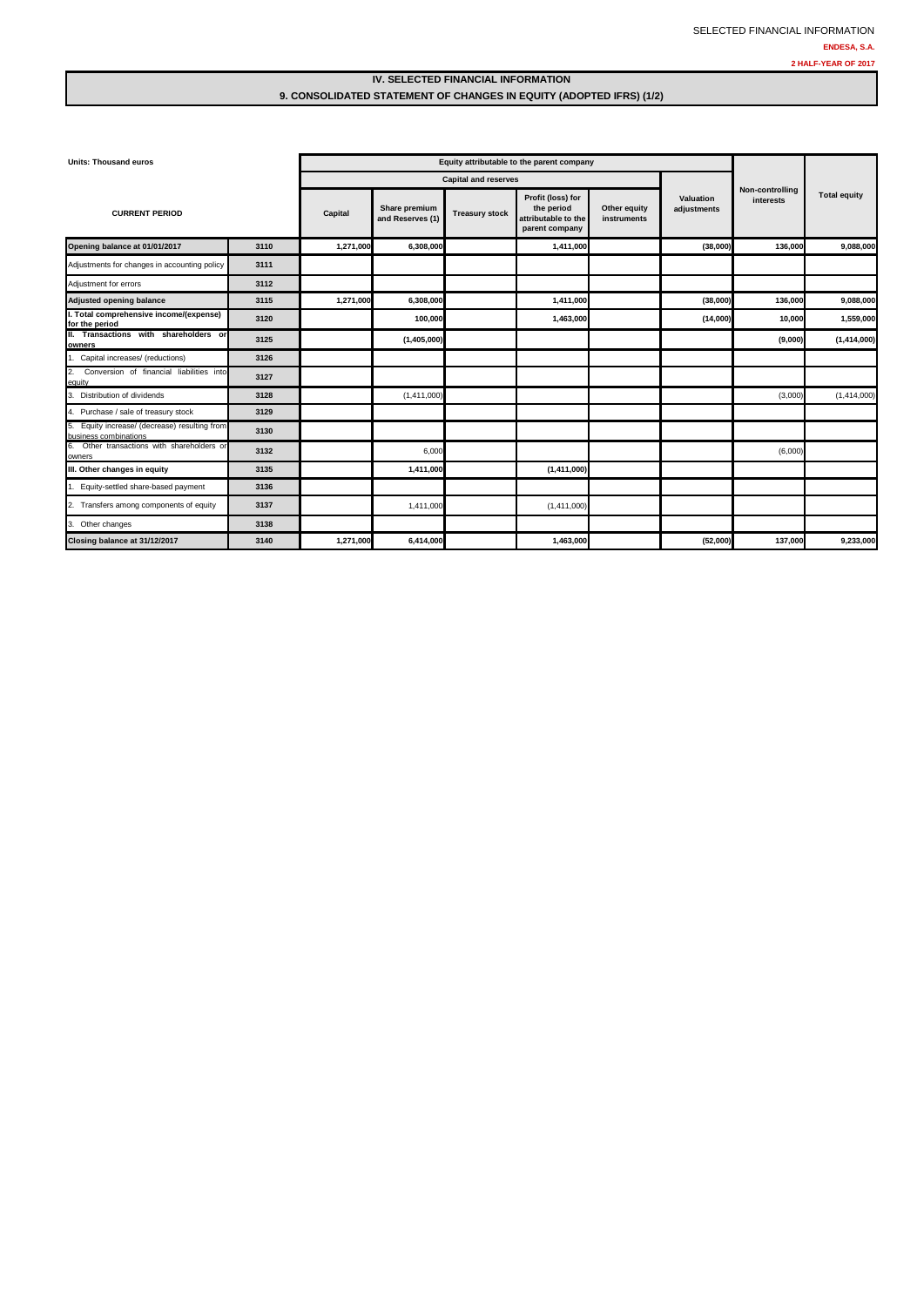### **IV. SELECTED FINANCIAL INFORMATION 9. CONSOLIDATED STATEMENT OF CHANGES IN EQUITY (ADOPTED IFRS) (1/2)**

| <b>Units: Thousand euros</b>                                           |      |           | Equity attributable to the parent company |                             |                                                                          |                             |                          |                              |                     |
|------------------------------------------------------------------------|------|-----------|-------------------------------------------|-----------------------------|--------------------------------------------------------------------------|-----------------------------|--------------------------|------------------------------|---------------------|
|                                                                        |      |           |                                           | <b>Capital and reserves</b> |                                                                          |                             |                          |                              |                     |
| <b>CURRENT PERIOD</b>                                                  |      | Capital   | Share premium<br>and Reserves (1)         | <b>Treasury stock</b>       | Profit (loss) for<br>the period<br>attributable to the<br>parent company | Other equity<br>instruments | Valuation<br>adjustments | Non-controlling<br>interests | <b>Total equity</b> |
| Opening balance at 01/01/2017                                          | 3110 | 1,271,000 | 6,308,000                                 |                             | 1,411,000                                                                |                             | (38,000)                 | 136,000                      | 9,088,000           |
| Adjustments for changes in accounting policy                           | 3111 |           |                                           |                             |                                                                          |                             |                          |                              |                     |
| Adjustment for errors                                                  | 3112 |           |                                           |                             |                                                                          |                             |                          |                              |                     |
| <b>Adjusted opening balance</b>                                        | 3115 | 1,271,000 | 6,308,000                                 |                             | 1,411,000                                                                |                             | (38,000)                 | 136,000                      | 9,088,000           |
| . Total comprehensive income/(expense)<br>for the period               | 3120 |           | 100,000                                   |                             | 1,463,000                                                                |                             | (14,000)                 | 10,000                       | 1,559,000           |
| II. Transactions with shareholders or<br>owners                        | 3125 |           | (1,405,000)                               |                             |                                                                          |                             |                          | (9,000)                      | (1,414,000)         |
| Capital increases/ (reductions)                                        | 3126 |           |                                           |                             |                                                                          |                             |                          |                              |                     |
| 2.<br>Conversion of financial liabilities into<br>equity               | 3127 |           |                                           |                             |                                                                          |                             |                          |                              |                     |
| Distribution of dividends                                              | 3128 |           | (1,411,000)                               |                             |                                                                          |                             |                          | (3,000)                      | (1,414,000)         |
| 4. Purchase / sale of treasury stock                                   | 3129 |           |                                           |                             |                                                                          |                             |                          |                              |                     |
| 5. Equity increase/ (decrease) resulting from<br>business combinations | 3130 |           |                                           |                             |                                                                          |                             |                          |                              |                     |
| 6. Other transactions with shareholders or<br>owners                   | 3132 |           | 6,000                                     |                             |                                                                          |                             |                          | (6,000)                      |                     |
| III. Other changes in equity                                           | 3135 |           | 1,411,000                                 |                             | (1,411,000)                                                              |                             |                          |                              |                     |
| Equity-settled share-based payment                                     | 3136 |           |                                           |                             |                                                                          |                             |                          |                              |                     |
| 2. Transfers among components of equity                                | 3137 |           | 1,411,000                                 |                             | (1,411,000)                                                              |                             |                          |                              |                     |
| 3. Other changes                                                       | 3138 |           |                                           |                             |                                                                          |                             |                          |                              |                     |
| Closing balance at 31/12/2017                                          | 3140 | 1,271,000 | 6,414,000                                 |                             | 1,463,000                                                                |                             | (52,000)                 | 137,000                      | 9,233,000           |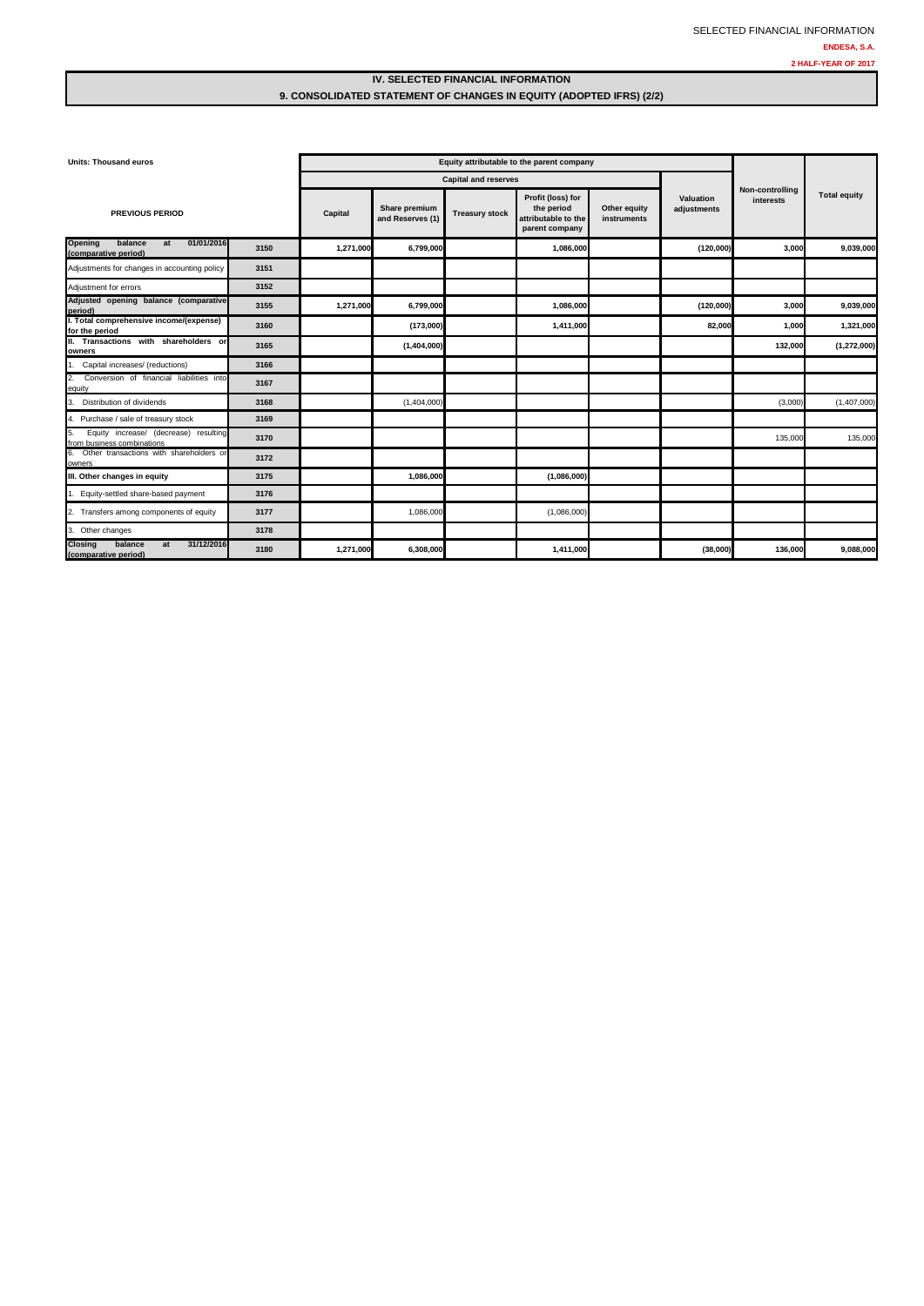### **IV. SELECTED FINANCIAL INFORMATION 9. CONSOLIDATED STATEMENT OF CHANGES IN EQUITY (ADOPTED IFRS) (2/2)**

| <b>Units: Thousand euros</b>                                              |      | Equity attributable to the parent company |                                   |                       |                                                                          |                             |                          |                              |                     |
|---------------------------------------------------------------------------|------|-------------------------------------------|-----------------------------------|-----------------------|--------------------------------------------------------------------------|-----------------------------|--------------------------|------------------------------|---------------------|
|                                                                           |      |                                           | <b>Capital and reserves</b>       |                       |                                                                          |                             |                          |                              |                     |
| <b>PREVIOUS PERIOD</b>                                                    |      | Capital                                   | Share premium<br>and Reserves (1) | <b>Treasury stock</b> | Profit (loss) for<br>the period<br>attributable to the<br>parent company | Other equity<br>instruments | Valuation<br>adjustments | Non-controlling<br>interests | <b>Total equity</b> |
| 01/01/2016<br>balance<br>Opening<br>at<br>(comparative period)            | 3150 | 1,271,000                                 | 6,799,000                         |                       | 1,086,000                                                                |                             | (120,000)                | 3,000                        | 9,039,000           |
| Adjustments for changes in accounting policy                              | 3151 |                                           |                                   |                       |                                                                          |                             |                          |                              |                     |
| Adjustment for errors                                                     | 3152 |                                           |                                   |                       |                                                                          |                             |                          |                              |                     |
| Adjusted opening balance (comparative<br>period)                          | 3155 | 1,271,000                                 | 6,799,000                         |                       | 1,086,000                                                                |                             | (120,000)                | 3,000                        | 9,039,000           |
| I. Total comprehensive income/(expense)<br>for the period                 | 3160 |                                           | (173,000)                         |                       | 1,411,000                                                                |                             | 82,000                   | 1,000                        | 1,321,000           |
| II. Transactions with shareholders or<br>owners                           | 3165 |                                           | (1,404,000)                       |                       |                                                                          |                             |                          | 132,000                      | (1,272,000)         |
| 1. Capital increases/ (reductions)                                        | 3166 |                                           |                                   |                       |                                                                          |                             |                          |                              |                     |
| 2.<br>Conversion of financial liabilities into<br>equity                  | 3167 |                                           |                                   |                       |                                                                          |                             |                          |                              |                     |
| Distribution of dividends<br>3.                                           | 3168 |                                           | (1,404,000)                       |                       |                                                                          |                             |                          | (3,000)                      | (1,407,000)         |
| 4. Purchase / sale of treasury stock                                      | 3169 |                                           |                                   |                       |                                                                          |                             |                          |                              |                     |
| Equity increase/ (decrease) resulting<br>5.<br>from business combinations | 3170 |                                           |                                   |                       |                                                                          |                             |                          | 135,000                      | 135,000             |
| Other transactions with shareholders or<br>6.<br>owners                   | 3172 |                                           |                                   |                       |                                                                          |                             |                          |                              |                     |
| III. Other changes in equity                                              | 3175 |                                           | 1,086,000                         |                       | (1,086,000)                                                              |                             |                          |                              |                     |
| 1. Equity-settled share-based payment                                     | 3176 |                                           |                                   |                       |                                                                          |                             |                          |                              |                     |
| Transfers among components of equity<br>2.                                | 3177 |                                           | 1,086,000                         |                       | (1,086,000)                                                              |                             |                          |                              |                     |
| 3. Other changes                                                          | 3178 |                                           |                                   |                       |                                                                          |                             |                          |                              |                     |
| 31/12/2016<br>balance<br><b>Closing</b><br>at<br>(comparative period)     | 3180 | 1,271,000                                 | 6,308,000                         |                       | 1,411,000                                                                |                             | (38,000)                 | 136,000                      | 9,088,000           |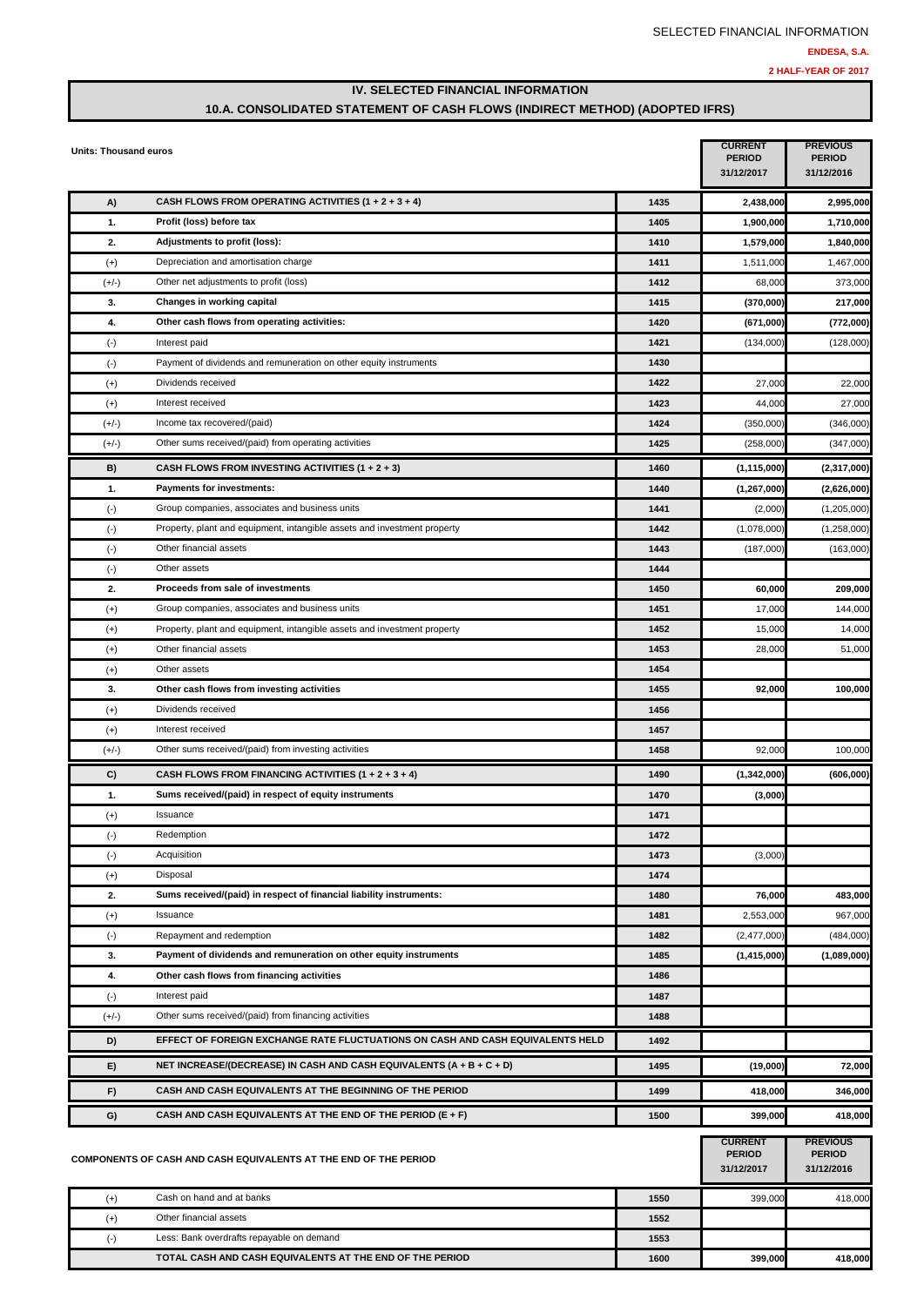**1600 399,000 418,000**

### **IV. SELECTED FINANCIAL INFORMATION 10.A. CONSOLIDATED STATEMENT OF CASH FLOWS (INDIRECT METHOD) (ADOPTED IFRS)**

| CASH FLOWS FROM OPERATING ACTIVITIES $(1 + 2 + 3 + 4)$<br>A)<br>1435<br>2,438,000<br>1.<br>Profit (loss) before tax<br>1405<br>1,900,000<br>2.<br>Adjustments to profit (loss):<br>1410<br>1,579,000<br>Depreciation and amortisation charge<br>$(+)$<br>1411<br>1,511,000<br>$(+/-)$<br>Other net adjustments to profit (loss)<br>1412<br>68,000<br>3.<br>Changes in working capital<br>1415<br>(370,000)<br>Other cash flows from operating activities:<br>4.<br>1420<br>(671,000)<br>Interest paid<br>1421<br>$(\cdot)$<br>(134,000)<br>$(\cdot)$<br>Payment of dividends and remuneration on other equity instruments<br>1430<br>Dividends received<br>1422<br>$(+)$<br>27,000<br>Interest received<br>1423<br>44,000<br>$(+)$<br>Income tax recovered/(paid)<br>1424<br>$(+/-)$<br>(350,000)<br>Other sums received/(paid) from operating activities<br>1425<br>$(+/-)$<br>(258,000)<br>CASH FLOWS FROM INVESTING ACTIVITIES $(1 + 2 + 3)$<br>1460<br>(1, 115, 000)<br>B)<br>Payments for investments:<br>1.<br>1440<br>(1, 267, 000)<br>Group companies, associates and business units<br>1441<br>(2,000)<br>$(\cdot)$<br>Property, plant and equipment, intangible assets and investment property<br>$(\cdot)$<br>1442<br>(1,078,000)<br>Other financial assets<br>1443<br>$(\cdot)$<br>(187,000)<br>$(\cdot)$<br>Other assets<br>1444<br>2.<br>Proceeds from sale of investments<br>1450<br>60,000<br>Group companies, associates and business units<br>1451<br>$^{(+)}$<br>17,000<br>$(+)$<br>Property, plant and equipment, intangible assets and investment property<br>1452<br>15,000<br>$(+)$<br>Other financial assets<br>1453<br>28,000<br>Other assets<br>1454<br>$^{(+)}$<br>3.<br>Other cash flows from investing activities<br>1455<br>92,000<br>Dividends received<br>$(+)$<br>1456<br>Interest received<br>1457<br>$^{(+)}$<br>Other sums received/(paid) from investing activities<br>1458<br>92,000<br>$(+/-)$<br>CASH FLOWS FROM FINANCING ACTIVITIES $(1 + 2 + 3 + 4)$<br>C)<br>1490<br>(1,342,000)<br>1.<br>Sums received/(paid) in respect of equity instruments<br>1470<br>(3,000)<br>Issuance<br>1471<br>$(+)$<br>$(\cdot)$<br>Redemption<br>1472<br>$(\cdot)$<br>Acquisition<br>1473<br>(3,000)<br>Disposal<br>1474<br>$^{(+)}$<br>2.<br>Sums received/(paid) in respect of financial liability instruments:<br>76,000<br>1480<br>Issuance<br>1481<br>2,553,000<br>$^{(+)}$<br>Repayment and redemption<br>1482<br>$(\cdot)$<br>(2,477,000)<br>Payment of dividends and remuneration on other equity instruments<br>3.<br>1485<br>(1,415,000)<br>Other cash flows from financing activities<br>4.<br>1486<br>Interest paid<br>1487<br>$(\cdot)$<br>Other sums received/(paid) from financing activities<br>$(+/-)$<br>1488<br>EFFECT OF FOREIGN EXCHANGE RATE FLUCTUATIONS ON CASH AND CASH EQUIVALENTS HELD<br>1492<br>D)<br>NET INCREASE/(DECREASE) IN CASH AND CASH EQUIVALENTS (A + B + C + D)<br>E)<br>1495<br>(19,000)<br>CASH AND CASH EQUIVALENTS AT THE BEGINNING OF THE PERIOD<br>418,000<br>F)<br>1499<br>346,000<br>CASH AND CASH EQUIVALENTS AT THE END OF THE PERIOD (E + F)<br>G)<br>1500<br>399,000<br>418,000<br><b>PREVIOUS</b><br><b>CURRENT</b><br><b>PERIOD</b><br><b>PERIOD</b><br>COMPONENTS OF CASH AND CASH EQUIVALENTS AT THE END OF THE PERIOD<br>31/12/2017<br>31/12/2016<br>Cash on hand and at banks<br>1550<br>$^{(+)}$<br>399,000<br>$(+)$<br>Other financial assets<br>1552 | Units: Thousand euros |  | <b>CURRENT</b><br><b>PERIOD</b><br>31/12/2017 | <b>PREVIOUS</b><br><b>PERIOD</b><br>31/12/2016 |
|--------------------------------------------------------------------------------------------------------------------------------------------------------------------------------------------------------------------------------------------------------------------------------------------------------------------------------------------------------------------------------------------------------------------------------------------------------------------------------------------------------------------------------------------------------------------------------------------------------------------------------------------------------------------------------------------------------------------------------------------------------------------------------------------------------------------------------------------------------------------------------------------------------------------------------------------------------------------------------------------------------------------------------------------------------------------------------------------------------------------------------------------------------------------------------------------------------------------------------------------------------------------------------------------------------------------------------------------------------------------------------------------------------------------------------------------------------------------------------------------------------------------------------------------------------------------------------------------------------------------------------------------------------------------------------------------------------------------------------------------------------------------------------------------------------------------------------------------------------------------------------------------------------------------------------------------------------------------------------------------------------------------------------------------------------------------------------------------------------------------------------------------------------------------------------------------------------------------------------------------------------------------------------------------------------------------------------------------------------------------------------------------------------------------------------------------------------------------------------------------------------------------------------------------------------------------------------------------------------------------------------------------------------------------------------------------------------------------------------------------------------------------------------------------------------------------------------------------------------------------------------------------------------------------------------------------------------------------------------------------------------------------------------------------------------------------------------------------------------------------------------------------------------------------------------------------------------------------------------------------------------------------------------------------------------------------------------------------------------------------------------------------------------------------------------------------|-----------------------|--|-----------------------------------------------|------------------------------------------------|
|                                                                                                                                                                                                                                                                                                                                                                                                                                                                                                                                                                                                                                                                                                                                                                                                                                                                                                                                                                                                                                                                                                                                                                                                                                                                                                                                                                                                                                                                                                                                                                                                                                                                                                                                                                                                                                                                                                                                                                                                                                                                                                                                                                                                                                                                                                                                                                                                                                                                                                                                                                                                                                                                                                                                                                                                                                                                                                                                                                                                                                                                                                                                                                                                                                                                                                                                                                                                                                            |                       |  |                                               | 2,995,000                                      |
|                                                                                                                                                                                                                                                                                                                                                                                                                                                                                                                                                                                                                                                                                                                                                                                                                                                                                                                                                                                                                                                                                                                                                                                                                                                                                                                                                                                                                                                                                                                                                                                                                                                                                                                                                                                                                                                                                                                                                                                                                                                                                                                                                                                                                                                                                                                                                                                                                                                                                                                                                                                                                                                                                                                                                                                                                                                                                                                                                                                                                                                                                                                                                                                                                                                                                                                                                                                                                                            |                       |  |                                               | 1,710,000                                      |
|                                                                                                                                                                                                                                                                                                                                                                                                                                                                                                                                                                                                                                                                                                                                                                                                                                                                                                                                                                                                                                                                                                                                                                                                                                                                                                                                                                                                                                                                                                                                                                                                                                                                                                                                                                                                                                                                                                                                                                                                                                                                                                                                                                                                                                                                                                                                                                                                                                                                                                                                                                                                                                                                                                                                                                                                                                                                                                                                                                                                                                                                                                                                                                                                                                                                                                                                                                                                                                            |                       |  |                                               | 1,840,000                                      |
|                                                                                                                                                                                                                                                                                                                                                                                                                                                                                                                                                                                                                                                                                                                                                                                                                                                                                                                                                                                                                                                                                                                                                                                                                                                                                                                                                                                                                                                                                                                                                                                                                                                                                                                                                                                                                                                                                                                                                                                                                                                                                                                                                                                                                                                                                                                                                                                                                                                                                                                                                                                                                                                                                                                                                                                                                                                                                                                                                                                                                                                                                                                                                                                                                                                                                                                                                                                                                                            |                       |  |                                               | 1,467,000                                      |
|                                                                                                                                                                                                                                                                                                                                                                                                                                                                                                                                                                                                                                                                                                                                                                                                                                                                                                                                                                                                                                                                                                                                                                                                                                                                                                                                                                                                                                                                                                                                                                                                                                                                                                                                                                                                                                                                                                                                                                                                                                                                                                                                                                                                                                                                                                                                                                                                                                                                                                                                                                                                                                                                                                                                                                                                                                                                                                                                                                                                                                                                                                                                                                                                                                                                                                                                                                                                                                            |                       |  |                                               | 373,000                                        |
|                                                                                                                                                                                                                                                                                                                                                                                                                                                                                                                                                                                                                                                                                                                                                                                                                                                                                                                                                                                                                                                                                                                                                                                                                                                                                                                                                                                                                                                                                                                                                                                                                                                                                                                                                                                                                                                                                                                                                                                                                                                                                                                                                                                                                                                                                                                                                                                                                                                                                                                                                                                                                                                                                                                                                                                                                                                                                                                                                                                                                                                                                                                                                                                                                                                                                                                                                                                                                                            |                       |  |                                               | 217,000                                        |
|                                                                                                                                                                                                                                                                                                                                                                                                                                                                                                                                                                                                                                                                                                                                                                                                                                                                                                                                                                                                                                                                                                                                                                                                                                                                                                                                                                                                                                                                                                                                                                                                                                                                                                                                                                                                                                                                                                                                                                                                                                                                                                                                                                                                                                                                                                                                                                                                                                                                                                                                                                                                                                                                                                                                                                                                                                                                                                                                                                                                                                                                                                                                                                                                                                                                                                                                                                                                                                            |                       |  |                                               | (772,000)                                      |
|                                                                                                                                                                                                                                                                                                                                                                                                                                                                                                                                                                                                                                                                                                                                                                                                                                                                                                                                                                                                                                                                                                                                                                                                                                                                                                                                                                                                                                                                                                                                                                                                                                                                                                                                                                                                                                                                                                                                                                                                                                                                                                                                                                                                                                                                                                                                                                                                                                                                                                                                                                                                                                                                                                                                                                                                                                                                                                                                                                                                                                                                                                                                                                                                                                                                                                                                                                                                                                            |                       |  |                                               | (128,000)                                      |
|                                                                                                                                                                                                                                                                                                                                                                                                                                                                                                                                                                                                                                                                                                                                                                                                                                                                                                                                                                                                                                                                                                                                                                                                                                                                                                                                                                                                                                                                                                                                                                                                                                                                                                                                                                                                                                                                                                                                                                                                                                                                                                                                                                                                                                                                                                                                                                                                                                                                                                                                                                                                                                                                                                                                                                                                                                                                                                                                                                                                                                                                                                                                                                                                                                                                                                                                                                                                                                            |                       |  |                                               |                                                |
|                                                                                                                                                                                                                                                                                                                                                                                                                                                                                                                                                                                                                                                                                                                                                                                                                                                                                                                                                                                                                                                                                                                                                                                                                                                                                                                                                                                                                                                                                                                                                                                                                                                                                                                                                                                                                                                                                                                                                                                                                                                                                                                                                                                                                                                                                                                                                                                                                                                                                                                                                                                                                                                                                                                                                                                                                                                                                                                                                                                                                                                                                                                                                                                                                                                                                                                                                                                                                                            |                       |  |                                               | 22,000                                         |
|                                                                                                                                                                                                                                                                                                                                                                                                                                                                                                                                                                                                                                                                                                                                                                                                                                                                                                                                                                                                                                                                                                                                                                                                                                                                                                                                                                                                                                                                                                                                                                                                                                                                                                                                                                                                                                                                                                                                                                                                                                                                                                                                                                                                                                                                                                                                                                                                                                                                                                                                                                                                                                                                                                                                                                                                                                                                                                                                                                                                                                                                                                                                                                                                                                                                                                                                                                                                                                            |                       |  |                                               | 27,000                                         |
|                                                                                                                                                                                                                                                                                                                                                                                                                                                                                                                                                                                                                                                                                                                                                                                                                                                                                                                                                                                                                                                                                                                                                                                                                                                                                                                                                                                                                                                                                                                                                                                                                                                                                                                                                                                                                                                                                                                                                                                                                                                                                                                                                                                                                                                                                                                                                                                                                                                                                                                                                                                                                                                                                                                                                                                                                                                                                                                                                                                                                                                                                                                                                                                                                                                                                                                                                                                                                                            |                       |  |                                               | (346,000)                                      |
|                                                                                                                                                                                                                                                                                                                                                                                                                                                                                                                                                                                                                                                                                                                                                                                                                                                                                                                                                                                                                                                                                                                                                                                                                                                                                                                                                                                                                                                                                                                                                                                                                                                                                                                                                                                                                                                                                                                                                                                                                                                                                                                                                                                                                                                                                                                                                                                                                                                                                                                                                                                                                                                                                                                                                                                                                                                                                                                                                                                                                                                                                                                                                                                                                                                                                                                                                                                                                                            |                       |  |                                               | (347,000)                                      |
|                                                                                                                                                                                                                                                                                                                                                                                                                                                                                                                                                                                                                                                                                                                                                                                                                                                                                                                                                                                                                                                                                                                                                                                                                                                                                                                                                                                                                                                                                                                                                                                                                                                                                                                                                                                                                                                                                                                                                                                                                                                                                                                                                                                                                                                                                                                                                                                                                                                                                                                                                                                                                                                                                                                                                                                                                                                                                                                                                                                                                                                                                                                                                                                                                                                                                                                                                                                                                                            |                       |  |                                               | (2,317,000)                                    |
|                                                                                                                                                                                                                                                                                                                                                                                                                                                                                                                                                                                                                                                                                                                                                                                                                                                                                                                                                                                                                                                                                                                                                                                                                                                                                                                                                                                                                                                                                                                                                                                                                                                                                                                                                                                                                                                                                                                                                                                                                                                                                                                                                                                                                                                                                                                                                                                                                                                                                                                                                                                                                                                                                                                                                                                                                                                                                                                                                                                                                                                                                                                                                                                                                                                                                                                                                                                                                                            |                       |  |                                               | (2,626,000)                                    |
|                                                                                                                                                                                                                                                                                                                                                                                                                                                                                                                                                                                                                                                                                                                                                                                                                                                                                                                                                                                                                                                                                                                                                                                                                                                                                                                                                                                                                                                                                                                                                                                                                                                                                                                                                                                                                                                                                                                                                                                                                                                                                                                                                                                                                                                                                                                                                                                                                                                                                                                                                                                                                                                                                                                                                                                                                                                                                                                                                                                                                                                                                                                                                                                                                                                                                                                                                                                                                                            |                       |  |                                               | (1,205,000)                                    |
|                                                                                                                                                                                                                                                                                                                                                                                                                                                                                                                                                                                                                                                                                                                                                                                                                                                                                                                                                                                                                                                                                                                                                                                                                                                                                                                                                                                                                                                                                                                                                                                                                                                                                                                                                                                                                                                                                                                                                                                                                                                                                                                                                                                                                                                                                                                                                                                                                                                                                                                                                                                                                                                                                                                                                                                                                                                                                                                                                                                                                                                                                                                                                                                                                                                                                                                                                                                                                                            |                       |  |                                               | (1,258,000)                                    |
|                                                                                                                                                                                                                                                                                                                                                                                                                                                                                                                                                                                                                                                                                                                                                                                                                                                                                                                                                                                                                                                                                                                                                                                                                                                                                                                                                                                                                                                                                                                                                                                                                                                                                                                                                                                                                                                                                                                                                                                                                                                                                                                                                                                                                                                                                                                                                                                                                                                                                                                                                                                                                                                                                                                                                                                                                                                                                                                                                                                                                                                                                                                                                                                                                                                                                                                                                                                                                                            |                       |  |                                               | (163,000)                                      |
|                                                                                                                                                                                                                                                                                                                                                                                                                                                                                                                                                                                                                                                                                                                                                                                                                                                                                                                                                                                                                                                                                                                                                                                                                                                                                                                                                                                                                                                                                                                                                                                                                                                                                                                                                                                                                                                                                                                                                                                                                                                                                                                                                                                                                                                                                                                                                                                                                                                                                                                                                                                                                                                                                                                                                                                                                                                                                                                                                                                                                                                                                                                                                                                                                                                                                                                                                                                                                                            |                       |  |                                               |                                                |
|                                                                                                                                                                                                                                                                                                                                                                                                                                                                                                                                                                                                                                                                                                                                                                                                                                                                                                                                                                                                                                                                                                                                                                                                                                                                                                                                                                                                                                                                                                                                                                                                                                                                                                                                                                                                                                                                                                                                                                                                                                                                                                                                                                                                                                                                                                                                                                                                                                                                                                                                                                                                                                                                                                                                                                                                                                                                                                                                                                                                                                                                                                                                                                                                                                                                                                                                                                                                                                            |                       |  |                                               | 209,000                                        |
|                                                                                                                                                                                                                                                                                                                                                                                                                                                                                                                                                                                                                                                                                                                                                                                                                                                                                                                                                                                                                                                                                                                                                                                                                                                                                                                                                                                                                                                                                                                                                                                                                                                                                                                                                                                                                                                                                                                                                                                                                                                                                                                                                                                                                                                                                                                                                                                                                                                                                                                                                                                                                                                                                                                                                                                                                                                                                                                                                                                                                                                                                                                                                                                                                                                                                                                                                                                                                                            |                       |  |                                               | 144,000                                        |
|                                                                                                                                                                                                                                                                                                                                                                                                                                                                                                                                                                                                                                                                                                                                                                                                                                                                                                                                                                                                                                                                                                                                                                                                                                                                                                                                                                                                                                                                                                                                                                                                                                                                                                                                                                                                                                                                                                                                                                                                                                                                                                                                                                                                                                                                                                                                                                                                                                                                                                                                                                                                                                                                                                                                                                                                                                                                                                                                                                                                                                                                                                                                                                                                                                                                                                                                                                                                                                            |                       |  |                                               | 14,000                                         |
|                                                                                                                                                                                                                                                                                                                                                                                                                                                                                                                                                                                                                                                                                                                                                                                                                                                                                                                                                                                                                                                                                                                                                                                                                                                                                                                                                                                                                                                                                                                                                                                                                                                                                                                                                                                                                                                                                                                                                                                                                                                                                                                                                                                                                                                                                                                                                                                                                                                                                                                                                                                                                                                                                                                                                                                                                                                                                                                                                                                                                                                                                                                                                                                                                                                                                                                                                                                                                                            |                       |  |                                               | 51,000                                         |
|                                                                                                                                                                                                                                                                                                                                                                                                                                                                                                                                                                                                                                                                                                                                                                                                                                                                                                                                                                                                                                                                                                                                                                                                                                                                                                                                                                                                                                                                                                                                                                                                                                                                                                                                                                                                                                                                                                                                                                                                                                                                                                                                                                                                                                                                                                                                                                                                                                                                                                                                                                                                                                                                                                                                                                                                                                                                                                                                                                                                                                                                                                                                                                                                                                                                                                                                                                                                                                            |                       |  |                                               |                                                |
|                                                                                                                                                                                                                                                                                                                                                                                                                                                                                                                                                                                                                                                                                                                                                                                                                                                                                                                                                                                                                                                                                                                                                                                                                                                                                                                                                                                                                                                                                                                                                                                                                                                                                                                                                                                                                                                                                                                                                                                                                                                                                                                                                                                                                                                                                                                                                                                                                                                                                                                                                                                                                                                                                                                                                                                                                                                                                                                                                                                                                                                                                                                                                                                                                                                                                                                                                                                                                                            |                       |  |                                               | 100,000                                        |
|                                                                                                                                                                                                                                                                                                                                                                                                                                                                                                                                                                                                                                                                                                                                                                                                                                                                                                                                                                                                                                                                                                                                                                                                                                                                                                                                                                                                                                                                                                                                                                                                                                                                                                                                                                                                                                                                                                                                                                                                                                                                                                                                                                                                                                                                                                                                                                                                                                                                                                                                                                                                                                                                                                                                                                                                                                                                                                                                                                                                                                                                                                                                                                                                                                                                                                                                                                                                                                            |                       |  |                                               |                                                |
|                                                                                                                                                                                                                                                                                                                                                                                                                                                                                                                                                                                                                                                                                                                                                                                                                                                                                                                                                                                                                                                                                                                                                                                                                                                                                                                                                                                                                                                                                                                                                                                                                                                                                                                                                                                                                                                                                                                                                                                                                                                                                                                                                                                                                                                                                                                                                                                                                                                                                                                                                                                                                                                                                                                                                                                                                                                                                                                                                                                                                                                                                                                                                                                                                                                                                                                                                                                                                                            |                       |  |                                               |                                                |
|                                                                                                                                                                                                                                                                                                                                                                                                                                                                                                                                                                                                                                                                                                                                                                                                                                                                                                                                                                                                                                                                                                                                                                                                                                                                                                                                                                                                                                                                                                                                                                                                                                                                                                                                                                                                                                                                                                                                                                                                                                                                                                                                                                                                                                                                                                                                                                                                                                                                                                                                                                                                                                                                                                                                                                                                                                                                                                                                                                                                                                                                                                                                                                                                                                                                                                                                                                                                                                            |                       |  |                                               | 100,000                                        |
|                                                                                                                                                                                                                                                                                                                                                                                                                                                                                                                                                                                                                                                                                                                                                                                                                                                                                                                                                                                                                                                                                                                                                                                                                                                                                                                                                                                                                                                                                                                                                                                                                                                                                                                                                                                                                                                                                                                                                                                                                                                                                                                                                                                                                                                                                                                                                                                                                                                                                                                                                                                                                                                                                                                                                                                                                                                                                                                                                                                                                                                                                                                                                                                                                                                                                                                                                                                                                                            |                       |  |                                               | (606,000)                                      |
|                                                                                                                                                                                                                                                                                                                                                                                                                                                                                                                                                                                                                                                                                                                                                                                                                                                                                                                                                                                                                                                                                                                                                                                                                                                                                                                                                                                                                                                                                                                                                                                                                                                                                                                                                                                                                                                                                                                                                                                                                                                                                                                                                                                                                                                                                                                                                                                                                                                                                                                                                                                                                                                                                                                                                                                                                                                                                                                                                                                                                                                                                                                                                                                                                                                                                                                                                                                                                                            |                       |  |                                               |                                                |
|                                                                                                                                                                                                                                                                                                                                                                                                                                                                                                                                                                                                                                                                                                                                                                                                                                                                                                                                                                                                                                                                                                                                                                                                                                                                                                                                                                                                                                                                                                                                                                                                                                                                                                                                                                                                                                                                                                                                                                                                                                                                                                                                                                                                                                                                                                                                                                                                                                                                                                                                                                                                                                                                                                                                                                                                                                                                                                                                                                                                                                                                                                                                                                                                                                                                                                                                                                                                                                            |                       |  |                                               |                                                |
|                                                                                                                                                                                                                                                                                                                                                                                                                                                                                                                                                                                                                                                                                                                                                                                                                                                                                                                                                                                                                                                                                                                                                                                                                                                                                                                                                                                                                                                                                                                                                                                                                                                                                                                                                                                                                                                                                                                                                                                                                                                                                                                                                                                                                                                                                                                                                                                                                                                                                                                                                                                                                                                                                                                                                                                                                                                                                                                                                                                                                                                                                                                                                                                                                                                                                                                                                                                                                                            |                       |  |                                               |                                                |
|                                                                                                                                                                                                                                                                                                                                                                                                                                                                                                                                                                                                                                                                                                                                                                                                                                                                                                                                                                                                                                                                                                                                                                                                                                                                                                                                                                                                                                                                                                                                                                                                                                                                                                                                                                                                                                                                                                                                                                                                                                                                                                                                                                                                                                                                                                                                                                                                                                                                                                                                                                                                                                                                                                                                                                                                                                                                                                                                                                                                                                                                                                                                                                                                                                                                                                                                                                                                                                            |                       |  |                                               |                                                |
|                                                                                                                                                                                                                                                                                                                                                                                                                                                                                                                                                                                                                                                                                                                                                                                                                                                                                                                                                                                                                                                                                                                                                                                                                                                                                                                                                                                                                                                                                                                                                                                                                                                                                                                                                                                                                                                                                                                                                                                                                                                                                                                                                                                                                                                                                                                                                                                                                                                                                                                                                                                                                                                                                                                                                                                                                                                                                                                                                                                                                                                                                                                                                                                                                                                                                                                                                                                                                                            |                       |  |                                               |                                                |
|                                                                                                                                                                                                                                                                                                                                                                                                                                                                                                                                                                                                                                                                                                                                                                                                                                                                                                                                                                                                                                                                                                                                                                                                                                                                                                                                                                                                                                                                                                                                                                                                                                                                                                                                                                                                                                                                                                                                                                                                                                                                                                                                                                                                                                                                                                                                                                                                                                                                                                                                                                                                                                                                                                                                                                                                                                                                                                                                                                                                                                                                                                                                                                                                                                                                                                                                                                                                                                            |                       |  |                                               | 483,000                                        |
|                                                                                                                                                                                                                                                                                                                                                                                                                                                                                                                                                                                                                                                                                                                                                                                                                                                                                                                                                                                                                                                                                                                                                                                                                                                                                                                                                                                                                                                                                                                                                                                                                                                                                                                                                                                                                                                                                                                                                                                                                                                                                                                                                                                                                                                                                                                                                                                                                                                                                                                                                                                                                                                                                                                                                                                                                                                                                                                                                                                                                                                                                                                                                                                                                                                                                                                                                                                                                                            |                       |  |                                               | 967,000                                        |
|                                                                                                                                                                                                                                                                                                                                                                                                                                                                                                                                                                                                                                                                                                                                                                                                                                                                                                                                                                                                                                                                                                                                                                                                                                                                                                                                                                                                                                                                                                                                                                                                                                                                                                                                                                                                                                                                                                                                                                                                                                                                                                                                                                                                                                                                                                                                                                                                                                                                                                                                                                                                                                                                                                                                                                                                                                                                                                                                                                                                                                                                                                                                                                                                                                                                                                                                                                                                                                            |                       |  |                                               | (484,000)                                      |
|                                                                                                                                                                                                                                                                                                                                                                                                                                                                                                                                                                                                                                                                                                                                                                                                                                                                                                                                                                                                                                                                                                                                                                                                                                                                                                                                                                                                                                                                                                                                                                                                                                                                                                                                                                                                                                                                                                                                                                                                                                                                                                                                                                                                                                                                                                                                                                                                                                                                                                                                                                                                                                                                                                                                                                                                                                                                                                                                                                                                                                                                                                                                                                                                                                                                                                                                                                                                                                            |                       |  |                                               | (1,089,000)                                    |
|                                                                                                                                                                                                                                                                                                                                                                                                                                                                                                                                                                                                                                                                                                                                                                                                                                                                                                                                                                                                                                                                                                                                                                                                                                                                                                                                                                                                                                                                                                                                                                                                                                                                                                                                                                                                                                                                                                                                                                                                                                                                                                                                                                                                                                                                                                                                                                                                                                                                                                                                                                                                                                                                                                                                                                                                                                                                                                                                                                                                                                                                                                                                                                                                                                                                                                                                                                                                                                            |                       |  |                                               |                                                |
|                                                                                                                                                                                                                                                                                                                                                                                                                                                                                                                                                                                                                                                                                                                                                                                                                                                                                                                                                                                                                                                                                                                                                                                                                                                                                                                                                                                                                                                                                                                                                                                                                                                                                                                                                                                                                                                                                                                                                                                                                                                                                                                                                                                                                                                                                                                                                                                                                                                                                                                                                                                                                                                                                                                                                                                                                                                                                                                                                                                                                                                                                                                                                                                                                                                                                                                                                                                                                                            |                       |  |                                               |                                                |
|                                                                                                                                                                                                                                                                                                                                                                                                                                                                                                                                                                                                                                                                                                                                                                                                                                                                                                                                                                                                                                                                                                                                                                                                                                                                                                                                                                                                                                                                                                                                                                                                                                                                                                                                                                                                                                                                                                                                                                                                                                                                                                                                                                                                                                                                                                                                                                                                                                                                                                                                                                                                                                                                                                                                                                                                                                                                                                                                                                                                                                                                                                                                                                                                                                                                                                                                                                                                                                            |                       |  |                                               |                                                |
|                                                                                                                                                                                                                                                                                                                                                                                                                                                                                                                                                                                                                                                                                                                                                                                                                                                                                                                                                                                                                                                                                                                                                                                                                                                                                                                                                                                                                                                                                                                                                                                                                                                                                                                                                                                                                                                                                                                                                                                                                                                                                                                                                                                                                                                                                                                                                                                                                                                                                                                                                                                                                                                                                                                                                                                                                                                                                                                                                                                                                                                                                                                                                                                                                                                                                                                                                                                                                                            |                       |  |                                               |                                                |
|                                                                                                                                                                                                                                                                                                                                                                                                                                                                                                                                                                                                                                                                                                                                                                                                                                                                                                                                                                                                                                                                                                                                                                                                                                                                                                                                                                                                                                                                                                                                                                                                                                                                                                                                                                                                                                                                                                                                                                                                                                                                                                                                                                                                                                                                                                                                                                                                                                                                                                                                                                                                                                                                                                                                                                                                                                                                                                                                                                                                                                                                                                                                                                                                                                                                                                                                                                                                                                            |                       |  |                                               | 72,000                                         |
|                                                                                                                                                                                                                                                                                                                                                                                                                                                                                                                                                                                                                                                                                                                                                                                                                                                                                                                                                                                                                                                                                                                                                                                                                                                                                                                                                                                                                                                                                                                                                                                                                                                                                                                                                                                                                                                                                                                                                                                                                                                                                                                                                                                                                                                                                                                                                                                                                                                                                                                                                                                                                                                                                                                                                                                                                                                                                                                                                                                                                                                                                                                                                                                                                                                                                                                                                                                                                                            |                       |  |                                               |                                                |
|                                                                                                                                                                                                                                                                                                                                                                                                                                                                                                                                                                                                                                                                                                                                                                                                                                                                                                                                                                                                                                                                                                                                                                                                                                                                                                                                                                                                                                                                                                                                                                                                                                                                                                                                                                                                                                                                                                                                                                                                                                                                                                                                                                                                                                                                                                                                                                                                                                                                                                                                                                                                                                                                                                                                                                                                                                                                                                                                                                                                                                                                                                                                                                                                                                                                                                                                                                                                                                            |                       |  |                                               |                                                |
|                                                                                                                                                                                                                                                                                                                                                                                                                                                                                                                                                                                                                                                                                                                                                                                                                                                                                                                                                                                                                                                                                                                                                                                                                                                                                                                                                                                                                                                                                                                                                                                                                                                                                                                                                                                                                                                                                                                                                                                                                                                                                                                                                                                                                                                                                                                                                                                                                                                                                                                                                                                                                                                                                                                                                                                                                                                                                                                                                                                                                                                                                                                                                                                                                                                                                                                                                                                                                                            |                       |  |                                               |                                                |
|                                                                                                                                                                                                                                                                                                                                                                                                                                                                                                                                                                                                                                                                                                                                                                                                                                                                                                                                                                                                                                                                                                                                                                                                                                                                                                                                                                                                                                                                                                                                                                                                                                                                                                                                                                                                                                                                                                                                                                                                                                                                                                                                                                                                                                                                                                                                                                                                                                                                                                                                                                                                                                                                                                                                                                                                                                                                                                                                                                                                                                                                                                                                                                                                                                                                                                                                                                                                                                            |                       |  |                                               | 418,000                                        |
|                                                                                                                                                                                                                                                                                                                                                                                                                                                                                                                                                                                                                                                                                                                                                                                                                                                                                                                                                                                                                                                                                                                                                                                                                                                                                                                                                                                                                                                                                                                                                                                                                                                                                                                                                                                                                                                                                                                                                                                                                                                                                                                                                                                                                                                                                                                                                                                                                                                                                                                                                                                                                                                                                                                                                                                                                                                                                                                                                                                                                                                                                                                                                                                                                                                                                                                                                                                                                                            |                       |  |                                               |                                                |

(-) **1553** Less: Bank overdrafts repayable on demand

**TOTAL CASH AND CASH EQUIVALENTS AT THE END OF THE PERIOD**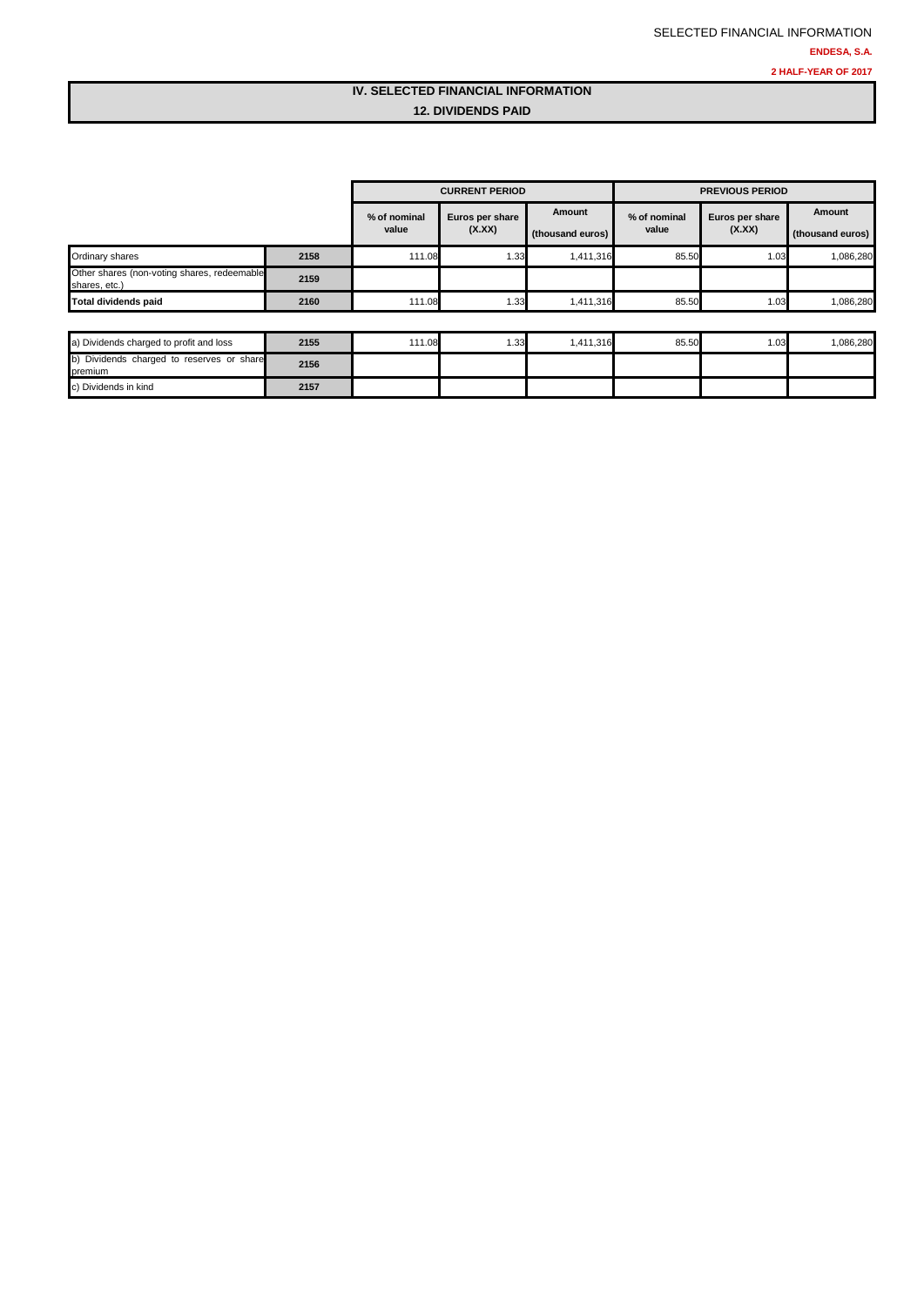### **IV. SELECTED FINANCIAL INFORMATION 12. DIVIDENDS PAID**

|                                                              |      |                       | <b>CURRENT PERIOD</b>     |                            | <b>PREVIOUS PERIOD</b> |                           |                            |  |
|--------------------------------------------------------------|------|-----------------------|---------------------------|----------------------------|------------------------|---------------------------|----------------------------|--|
|                                                              |      | % of nominal<br>value | Euros per share<br>(X.XX) | Amount<br>(thousand euros) | % of nominal<br>value  | Euros per share<br>(X.XX) | Amount<br>(thousand euros) |  |
| Ordinary shares                                              | 2158 | 111.08                | 1.33                      | 1,411,316                  | 85.50                  | 1.03                      | 1,086,280                  |  |
| Other shares (non-voting shares, redeemable<br>shares, etc.) | 2159 |                       |                           |                            |                        |                           |                            |  |
| <b>Total dividends paid</b>                                  | 2160 | 111.08                | 1.33                      | 1,411,316                  | 85.50                  | 1.03                      | 1,086,280                  |  |
|                                                              |      |                       |                           |                            |                        |                           |                            |  |
| a) Dividends charged to profit and loss                      | 2155 | 111.08                | 1.33                      | 1,411,316                  | 85.50                  | 1.03                      | 1,086,280                  |  |
| b) Dividends charged to reserves or share<br>premium         | 2156 |                       |                           |                            |                        |                           |                            |  |
| c) Dividends in kind                                         | 2157 |                       |                           |                            |                        |                           |                            |  |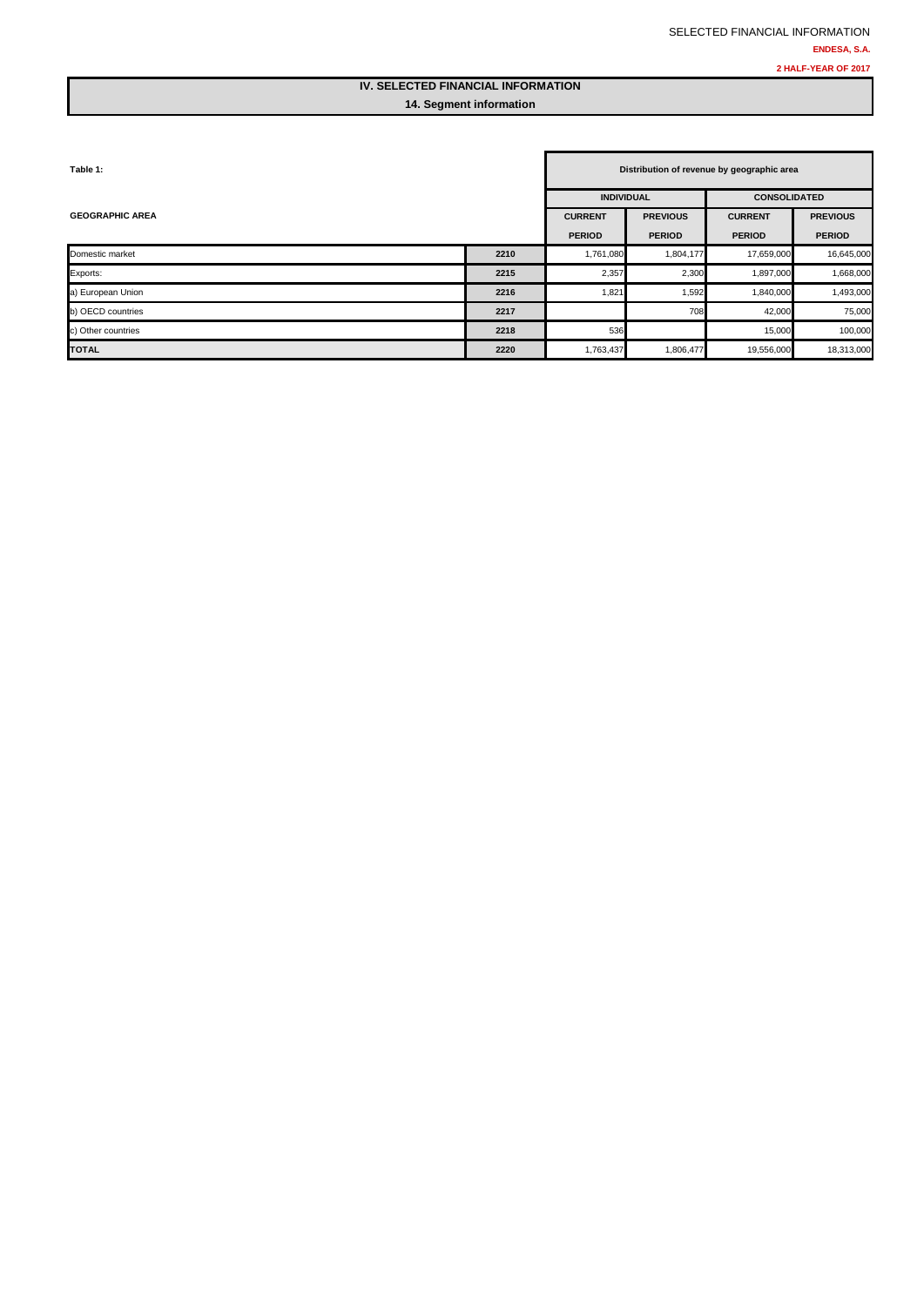### **IV. SELECTED FINANCIAL INFORMATION 14. Segment information**

| Table 1:               |      |                | Distribution of revenue by geographic area |                     |                 |  |  |  |
|------------------------|------|----------------|--------------------------------------------|---------------------|-----------------|--|--|--|
|                        |      |                | <b>INDIVIDUAL</b>                          | <b>CONSOLIDATED</b> |                 |  |  |  |
| <b>GEOGRAPHIC AREA</b> |      | <b>CURRENT</b> | <b>PREVIOUS</b>                            | <b>CURRENT</b>      | <b>PREVIOUS</b> |  |  |  |
|                        |      | <b>PERIOD</b>  | <b>PERIOD</b>                              | <b>PERIOD</b>       | <b>PERIOD</b>   |  |  |  |
| Domestic market        | 2210 | 1,761,080      | 1,804,177                                  | 17,659,000          | 16,645,000      |  |  |  |
| Exports:               | 2215 | 2,357          | 2,300                                      | 1,897,000           | 1,668,000       |  |  |  |
| a) European Union      | 2216 | 1,821          | 1,592                                      | 1,840,000           | 1,493,000       |  |  |  |
| b) OECD countries      | 2217 |                | 708                                        | 42,000              | 75,000          |  |  |  |
| c) Other countries     | 2218 | 536            |                                            | 15,000              | 100,000         |  |  |  |
| <b>TOTAL</b>           | 2220 | 1,763,437      | 1,806,477                                  | 19,556,000          | 18,313,000      |  |  |  |